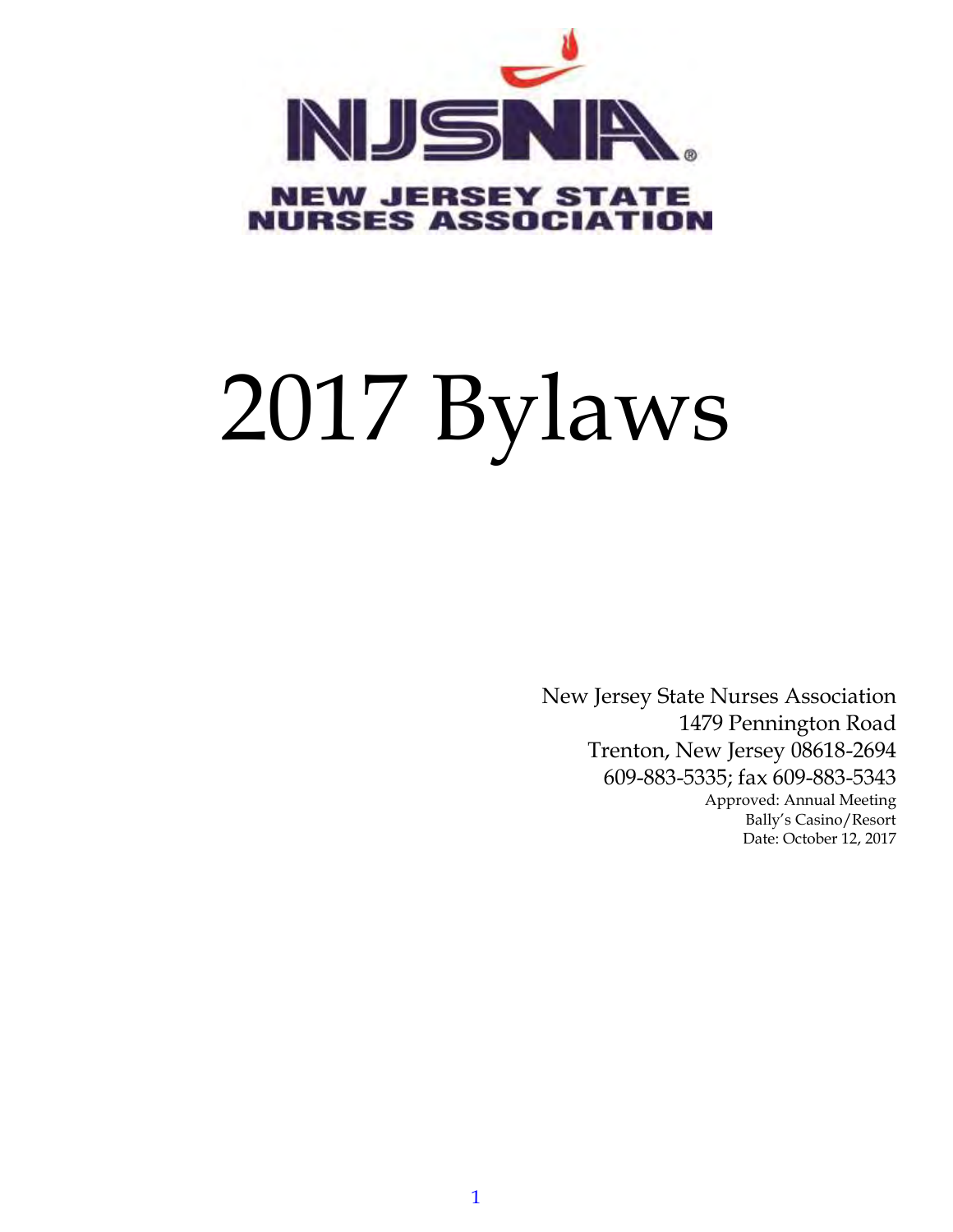

# 2017 Bylaws

New Jersey State Nurses Association 1479 Pennington Road Trenton, New Jersey 08618-2694 609-883-5335; fax 609-883-5343 Approved: Annual Meeting Bally's Casino/Resort Date: October 12, 2017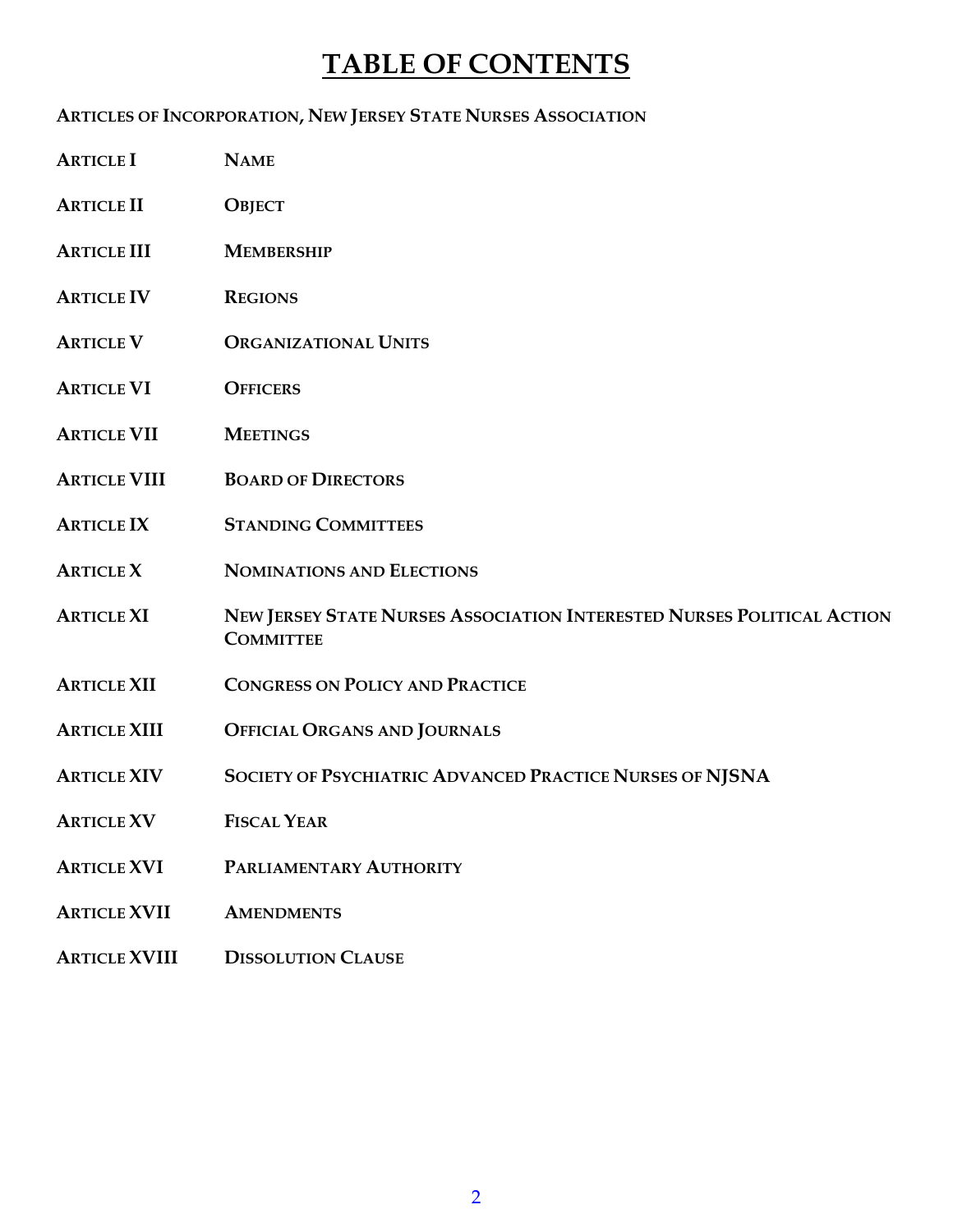## **TABLE OF CONTENTS**

#### **ARTICLES OF INCORPORATION, NEW JERSEY STATE NURSES ASSOCIATION**

- **ARTICLE I NAME**
- **ARTICLE II OBJECT**
- **ARTICLE III MEMBERSHIP**
- **ARTICLE IV REGIONS**
- **ARTICLE V ORGANIZATIONAL UNITS**
- **ARTICLE VI OFFICERS**
- **ARTICLE VII MEETINGS**
- **ARTICLE VIII BOARD OF DIRECTORS**
- **ARTICLE IX STANDING COMMITTEES**
- **ARTICLE X NOMINATIONS AND ELECTIONS**
- ARTICLE XI NEW JERSEY STATE NURSES ASSOCIATION INTERESTED NURSES POLITICAL ACTION **COMMITTEE**
- **ARTICLE XII CONGRESS ON POLICY AND PRACTICE**
- **ARTICLE XIII OFFICIAL ORGANS AND JOURNALS**
- **ARTICLE XIV SOCIETY OF PSYCHIATRIC ADVANCED PRACTICE NURSES OF NJSNA**
- **ARTICLE XV FISCAL YEAR**
- **ARTICLE XVI PARLIAMENTARY AUTHORITY**
- **ARTICLE XVII AMENDMENTS**
- **ARTICLE XVIII DISSOLUTION CLAUSE**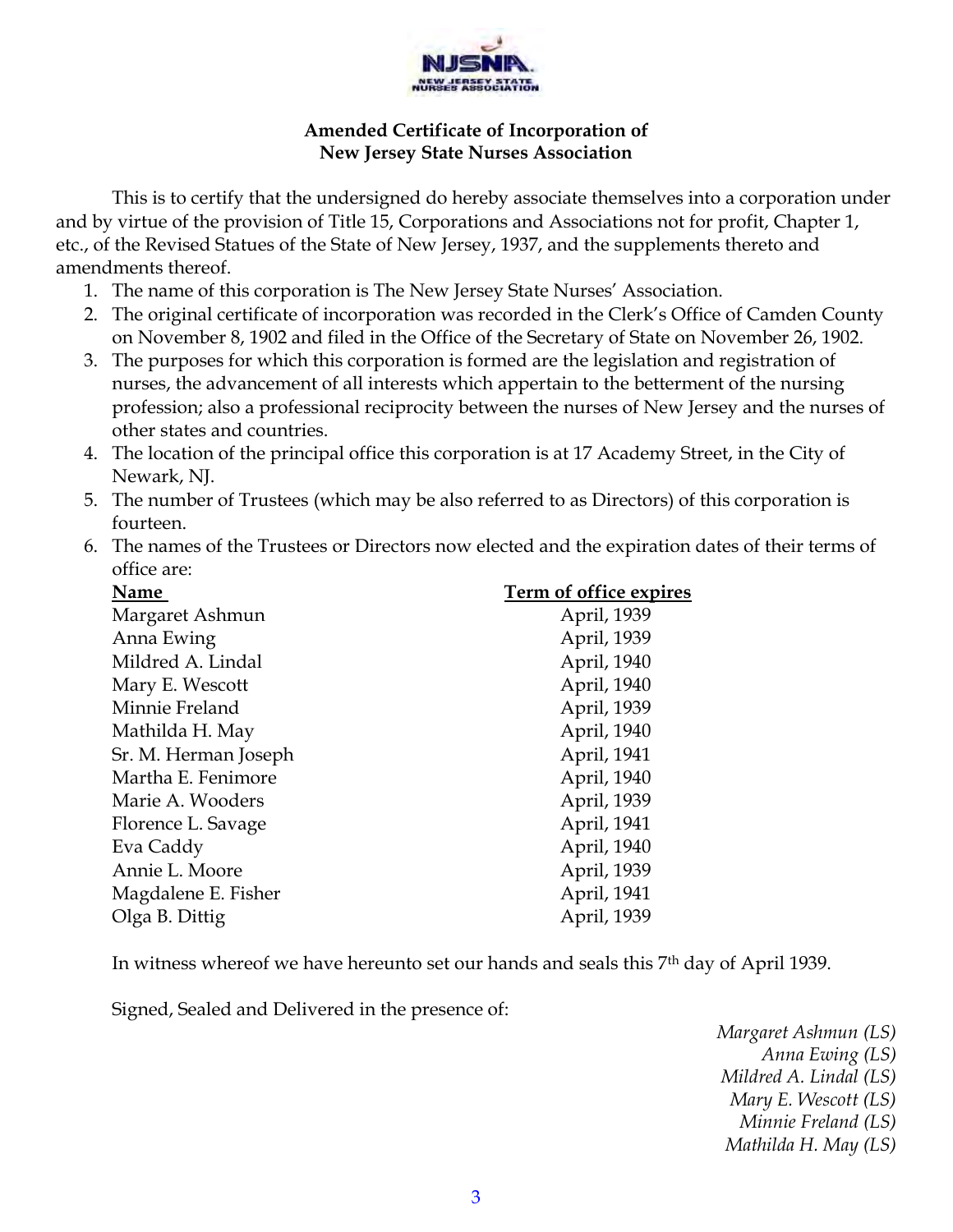

#### **Amended Certificate of Incorporation of New Jersey State Nurses Association**

This is to certify that the undersigned do hereby associate themselves into a corporation under and by virtue of the provision of Title 15, Corporations and Associations not for profit, Chapter 1, etc., of the Revised Statues of the State of New Jersey, 1937, and the supplements thereto and amendments thereof.

- 1. The name of this corporation is The New Jersey State Nurses' Association.
- 2. The original certificate of incorporation was recorded in the Clerk's Office of Camden County on November 8, 1902 and filed in the Office of the Secretary of State on November 26, 1902.
- 3. The purposes for which this corporation is formed are the legislation and registration of nurses, the advancement of all interests which appertain to the betterment of the nursing profession; also a professional reciprocity between the nurses of New Jersey and the nurses of other states and countries.
- 4. The location of the principal office this corporation is at 17 Academy Street, in the City of Newark, NJ.
- 5. The number of Trustees (which may be also referred to as Directors) of this corporation is fourteen.
- 6. The names of the Trustees or Directors now elected and the expiration dates of their terms of office are:

| Name                 | Term of office expires |
|----------------------|------------------------|
| Margaret Ashmun      | April, 1939            |
| Anna Ewing           | April, 1939            |
| Mildred A. Lindal    | April, 1940            |
| Mary E. Wescott      | April, 1940            |
| Minnie Freland       | April, 1939            |
| Mathilda H. May      | April, 1940            |
| Sr. M. Herman Joseph | April, 1941            |
| Martha E. Fenimore   | April, 1940            |
| Marie A. Wooders     | April, 1939            |
| Florence L. Savage   | April, 1941            |
| Eva Caddy            | April, 1940            |
| Annie L. Moore       | April, 1939            |
| Magdalene E. Fisher  | April, 1941            |
| Olga B. Dittig       | April, 1939            |
|                      |                        |

In witness whereof we have hereunto set our hands and seals this 7th day of April 1939.

Signed, Sealed and Delivered in the presence of:

*Margaret Ashmun (LS) Anna Ewing (LS) Mildred A. Lindal (LS) Mary E. Wescott (LS) Minnie Freland (LS) Mathilda H. May (LS)*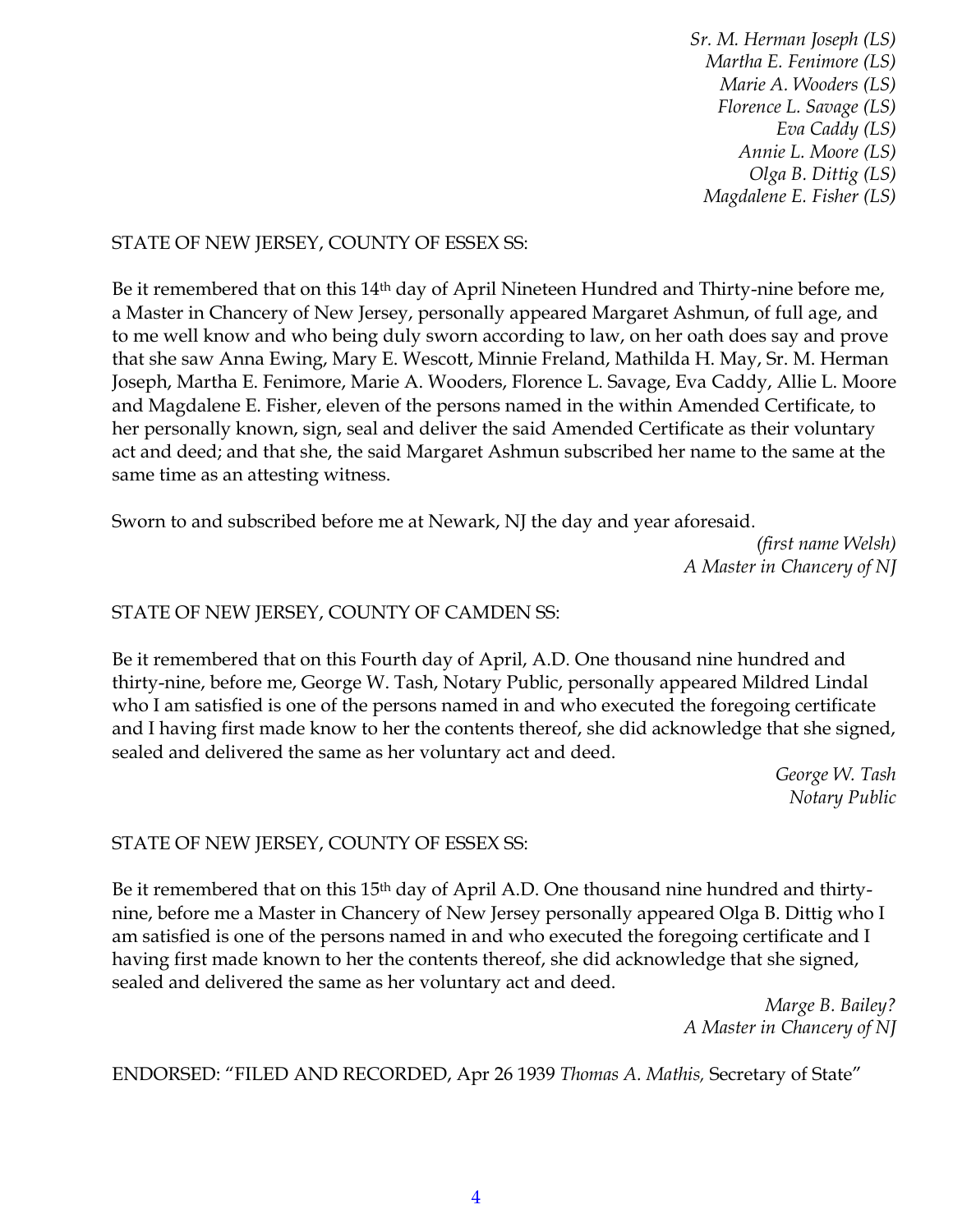*Sr. M. Herman Joseph (LS) Martha E. Fenimore (LS) Marie A. Wooders (LS) Florence L. Savage (LS) Eva Caddy (LS) Annie L. Moore (LS) Olga B. Dittig (LS) Magdalene E. Fisher (LS)*

#### STATE OF NEW JERSEY, COUNTY OF ESSEX SS:

Be it remembered that on this 14<sup>th</sup> day of April Nineteen Hundred and Thirty-nine before me, a Master in Chancery of New Jersey, personally appeared Margaret Ashmun, of full age, and to me well know and who being duly sworn according to law, on her oath does say and prove that she saw Anna Ewing, Mary E. Wescott, Minnie Freland, Mathilda H. May, Sr. M. Herman Joseph, Martha E. Fenimore, Marie A. Wooders, Florence L. Savage, Eva Caddy, Allie L. Moore and Magdalene E. Fisher, eleven of the persons named in the within Amended Certificate, to her personally known, sign, seal and deliver the said Amended Certificate as their voluntary act and deed; and that she, the said Margaret Ashmun subscribed her name to the same at the same time as an attesting witness.

Sworn to and subscribed before me at Newark, NJ the day and year aforesaid.

*(first name Welsh) A Master in Chancery of NJ*

#### STATE OF NEW JERSEY, COUNTY OF CAMDEN SS:

Be it remembered that on this Fourth day of April, A.D. One thousand nine hundred and thirty-nine, before me, George W. Tash, Notary Public, personally appeared Mildred Lindal who I am satisfied is one of the persons named in and who executed the foregoing certificate and I having first made know to her the contents thereof, she did acknowledge that she signed, sealed and delivered the same as her voluntary act and deed.

> *George W. Tash Notary Public*

#### STATE OF NEW JERSEY, COUNTY OF ESSEX SS:

Be it remembered that on this 15<sup>th</sup> day of April A.D. One thousand nine hundred and thirtynine, before me a Master in Chancery of New Jersey personally appeared Olga B. Dittig who I am satisfied is one of the persons named in and who executed the foregoing certificate and I having first made known to her the contents thereof, she did acknowledge that she signed, sealed and delivered the same as her voluntary act and deed.

> *Marge B. Bailey? A Master in Chancery of NJ*

ENDORSED: "FILED AND RECORDED, Apr 26 1939 *Thomas A. Mathis,* Secretary of State"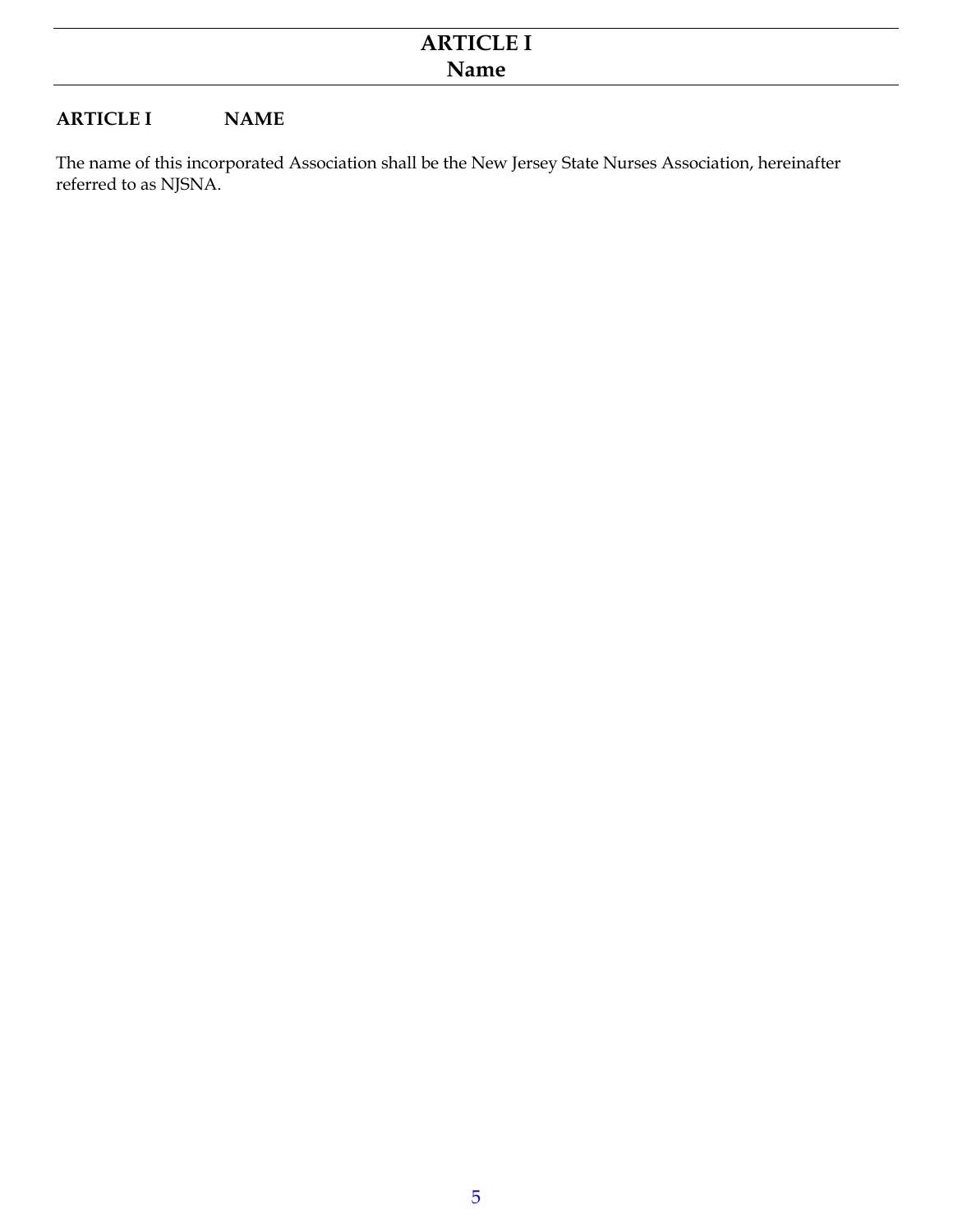#### **ARTICLE I NAME**

The name of this incorporated Association shall be the New Jersey State Nurses Association, hereinafter referred to as NJSNA.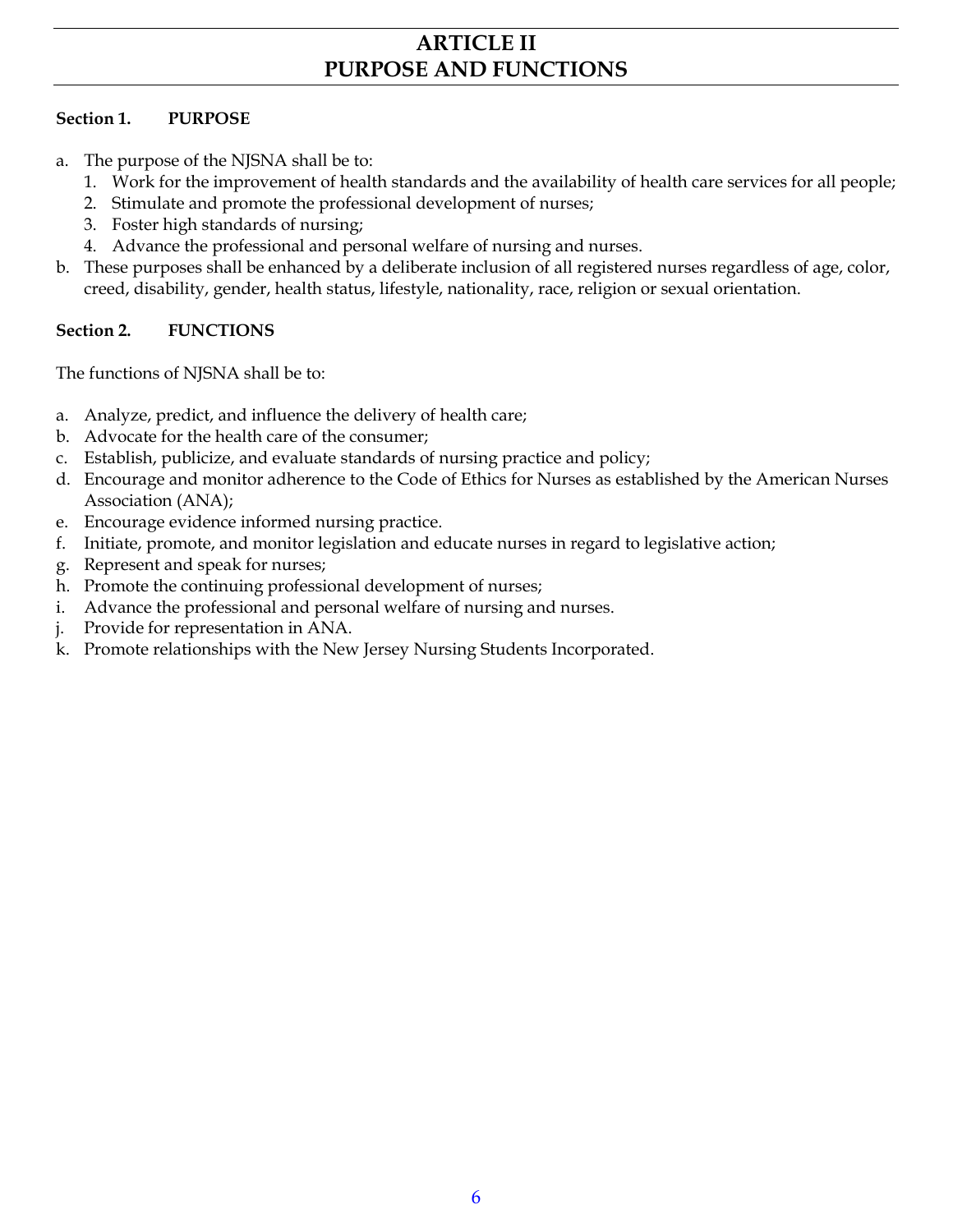## **ARTICLE II PURPOSE AND FUNCTIONS**

#### **Section 1. PURPOSE**

- a. The purpose of the NJSNA shall be to:
	- 1. Work for the improvement of health standards and the availability of health care services for all people;
	- 2. Stimulate and promote the professional development of nurses;
	- 3. Foster high standards of nursing;
	- 4. Advance the professional and personal welfare of nursing and nurses.
- b. These purposes shall be enhanced by a deliberate inclusion of all registered nurses regardless of age, color, creed, disability, gender, health status, lifestyle, nationality, race, religion or sexual orientation.

#### **Section 2. FUNCTIONS**

The functions of NJSNA shall be to:

- a. Analyze, predict, and influence the delivery of health care;
- b. Advocate for the health care of the consumer;
- c. Establish, publicize, and evaluate standards of nursing practice and policy;
- d. Encourage and monitor adherence to the Code of Ethics for Nurses as established by the American Nurses Association (ANA);
- e. Encourage evidence informed nursing practice.
- f. Initiate, promote, and monitor legislation and educate nurses in regard to legislative action;
- g. Represent and speak for nurses;
- h. Promote the continuing professional development of nurses;
- i. Advance the professional and personal welfare of nursing and nurses.
- j. Provide for representation in ANA.
- k. Promote relationships with the New Jersey Nursing Students Incorporated.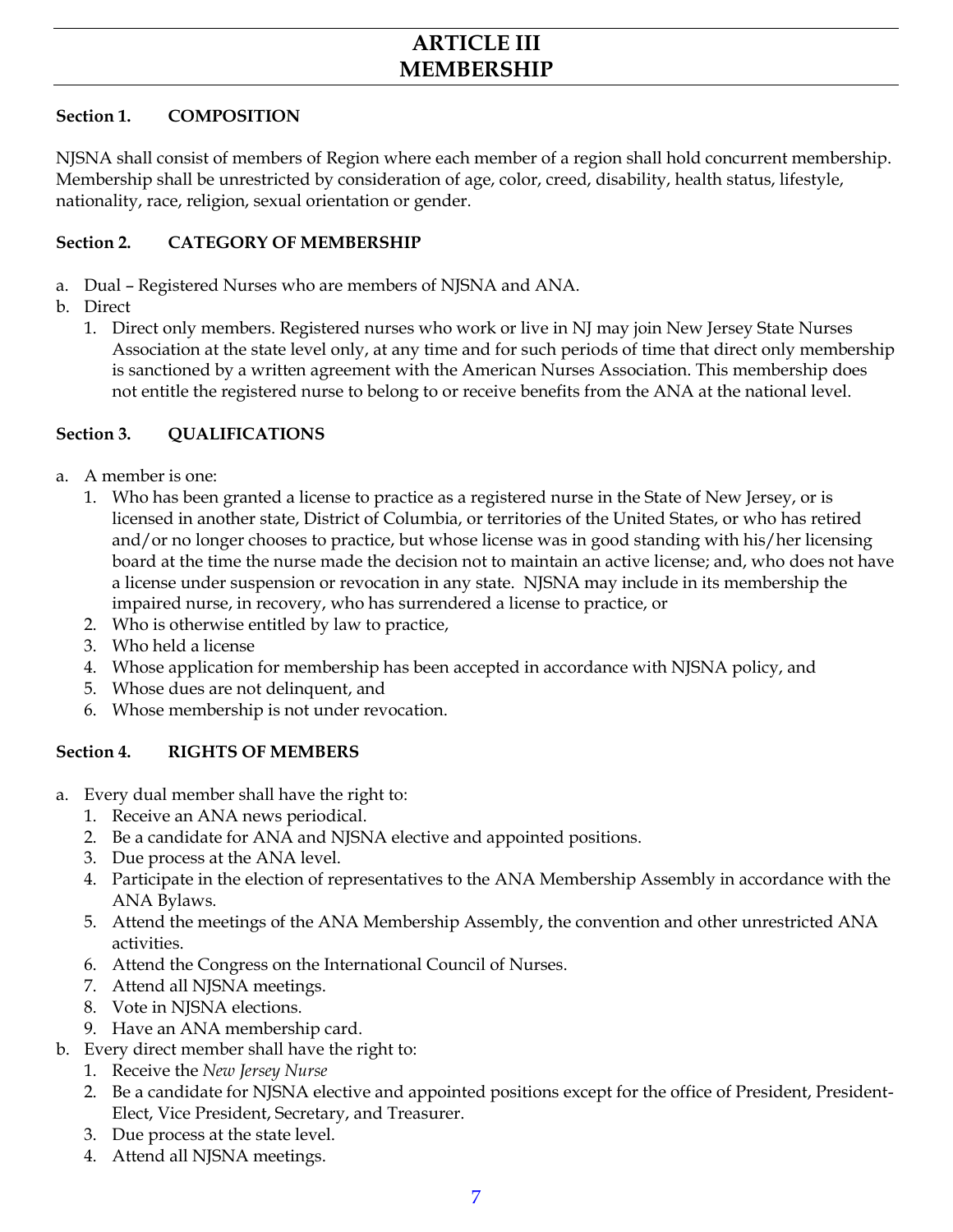## **ARTICLE III MEMBERSHIP**

#### **Section 1. COMPOSITION**

NJSNA shall consist of members of Region where each member of a region shall hold concurrent membership. Membership shall be unrestricted by consideration of age, color, creed, disability, health status, lifestyle, nationality, race, religion, sexual orientation or gender.

#### **Section 2. CATEGORY OF MEMBERSHIP**

- a. Dual Registered Nurses who are members of NJSNA and ANA.
- b. Direct
	- 1. Direct only members. Registered nurses who work or live in NJ may join New Jersey State Nurses Association at the state level only, at any time and for such periods of time that direct only membership is sanctioned by a written agreement with the American Nurses Association. This membership does not entitle the registered nurse to belong to or receive benefits from the ANA at the national level.

#### **Section 3. QUALIFICATIONS**

- a. A member is one:
	- 1. Who has been granted a license to practice as a registered nurse in the State of New Jersey, or is licensed in another state, District of Columbia, or territories of the United States, or who has retired and/or no longer chooses to practice, but whose license was in good standing with his/her licensing board at the time the nurse made the decision not to maintain an active license; and, who does not have a license under suspension or revocation in any state. NJSNA may include in its membership the impaired nurse, in recovery, who has surrendered a license to practice, or
	- 2. Who is otherwise entitled by law to practice,
	- 3. Who held a license
	- 4. Whose application for membership has been accepted in accordance with NJSNA policy, and
	- 5. Whose dues are not delinquent, and
	- 6. Whose membership is not under revocation.

#### **Section 4. RIGHTS OF MEMBERS**

- a. Every dual member shall have the right to:
	- 1. Receive an ANA news periodical.
	- 2. Be a candidate for ANA and NJSNA elective and appointed positions.
	- 3. Due process at the ANA level.
	- 4. Participate in the election of representatives to the ANA Membership Assembly in accordance with the ANA Bylaws.
	- 5. Attend the meetings of the ANA Membership Assembly, the convention and other unrestricted ANA activities.
	- 6. Attend the Congress on the International Council of Nurses.
	- 7. Attend all NJSNA meetings.
	- 8. Vote in NJSNA elections.
	- 9. Have an ANA membership card.
- b. Every direct member shall have the right to:
	- 1. Receive the *New Jersey Nurse*
	- 2. Be a candidate for NJSNA elective and appointed positions except for the office of President, President-Elect, Vice President, Secretary, and Treasurer.
	- 3. Due process at the state level.
	- 4. Attend all NJSNA meetings.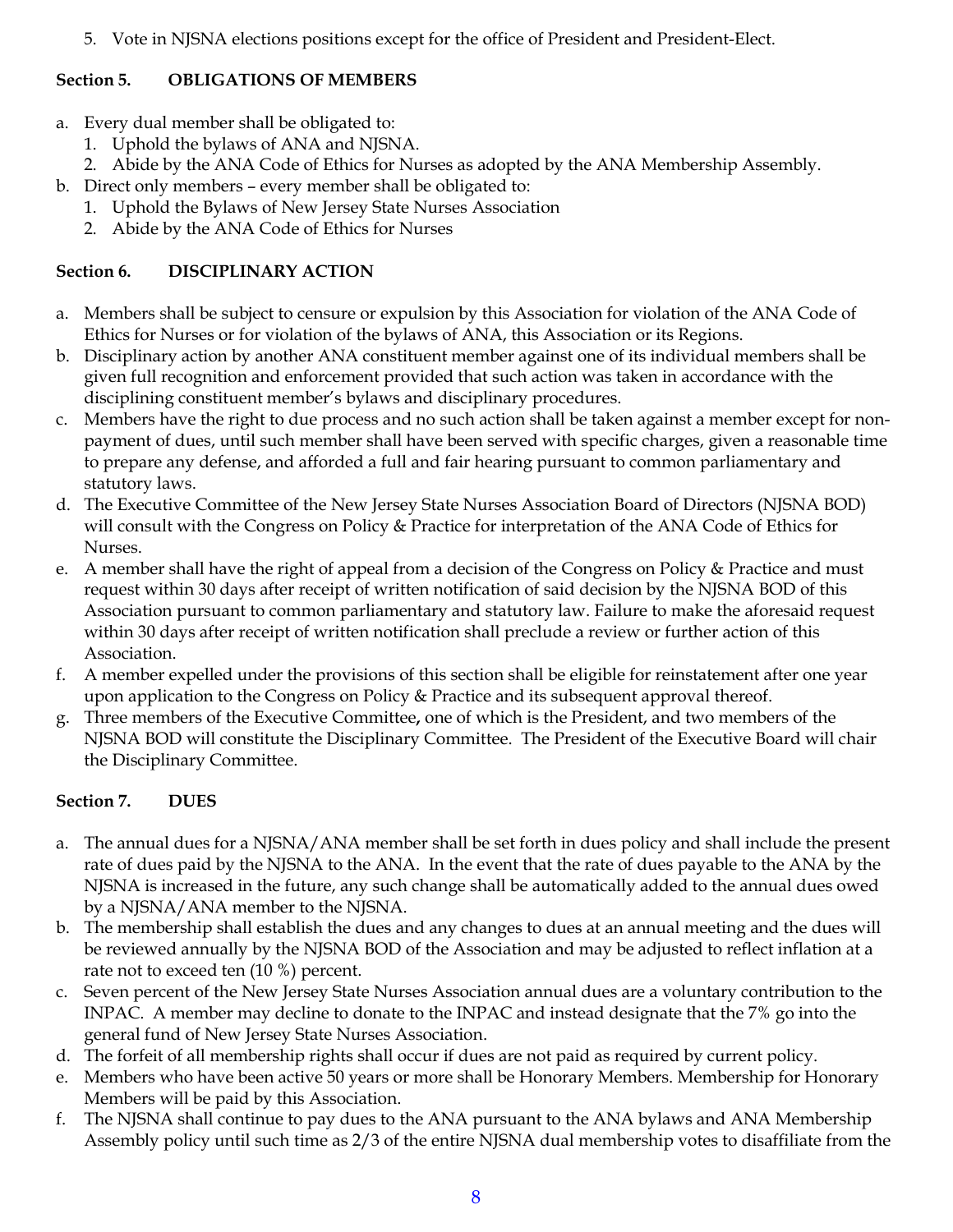5. Vote in NJSNA elections positions except for the office of President and President-Elect.

#### **Section 5. OBLIGATIONS OF MEMBERS**

- a. Every dual member shall be obligated to:
	- 1. Uphold the bylaws of ANA and NJSNA.
	- 2. Abide by the ANA Code of Ethics for Nurses as adopted by the ANA Membership Assembly.
- b. Direct only members every member shall be obligated to:
	- 1. Uphold the Bylaws of New Jersey State Nurses Association
	- 2. Abide by the ANA Code of Ethics for Nurses

#### **Section 6. DISCIPLINARY ACTION**

- a. Members shall be subject to censure or expulsion by this Association for violation of the ANA Code of Ethics for Nurses or for violation of the bylaws of ANA, this Association or its Regions.
- b. Disciplinary action by another ANA constituent member against one of its individual members shall be given full recognition and enforcement provided that such action was taken in accordance with the disciplining constituent member's bylaws and disciplinary procedures.
- c. Members have the right to due process and no such action shall be taken against a member except for nonpayment of dues, until such member shall have been served with specific charges, given a reasonable time to prepare any defense, and afforded a full and fair hearing pursuant to common parliamentary and statutory laws.
- d. The Executive Committee of the New Jersey State Nurses Association Board of Directors (NJSNA BOD) will consult with the Congress on Policy & Practice for interpretation of the ANA Code of Ethics for Nurses.
- e. A member shall have the right of appeal from a decision of the Congress on Policy & Practice and must request within 30 days after receipt of written notification of said decision by the NJSNA BOD of this Association pursuant to common parliamentary and statutory law. Failure to make the aforesaid request within 30 days after receipt of written notification shall preclude a review or further action of this Association.
- f. A member expelled under the provisions of this section shall be eligible for reinstatement after one year upon application to the Congress on Policy & Practice and its subsequent approval thereof.
- g. Three members of the Executive Committee**,** one of which is the President, and two members of the NJSNA BOD will constitute the Disciplinary Committee. The President of the Executive Board will chair the Disciplinary Committee.

### **Section 7. DUES**

- a. The annual dues for a NJSNA/ANA member shall be set forth in dues policy and shall include the present rate of dues paid by the NJSNA to the ANA. In the event that the rate of dues payable to the ANA by the NJSNA is increased in the future, any such change shall be automatically added to the annual dues owed by a NJSNA/ANA member to the NJSNA.
- b. The membership shall establish the dues and any changes to dues at an annual meeting and the dues will be reviewed annually by the NJSNA BOD of the Association and may be adjusted to reflect inflation at a rate not to exceed ten (10 %) percent.
- c. Seven percent of the New Jersey State Nurses Association annual dues are a voluntary contribution to the INPAC. A member may decline to donate to the INPAC and instead designate that the 7% go into the general fund of New Jersey State Nurses Association.
- d. The forfeit of all membership rights shall occur if dues are not paid as required by current policy.
- e. Members who have been active 50 years or more shall be Honorary Members. Membership for Honorary Members will be paid by this Association.
- f. The NJSNA shall continue to pay dues to the ANA pursuant to the ANA bylaws and ANA Membership Assembly policy until such time as 2/3 of the entire NJSNA dual membership votes to disaffiliate from the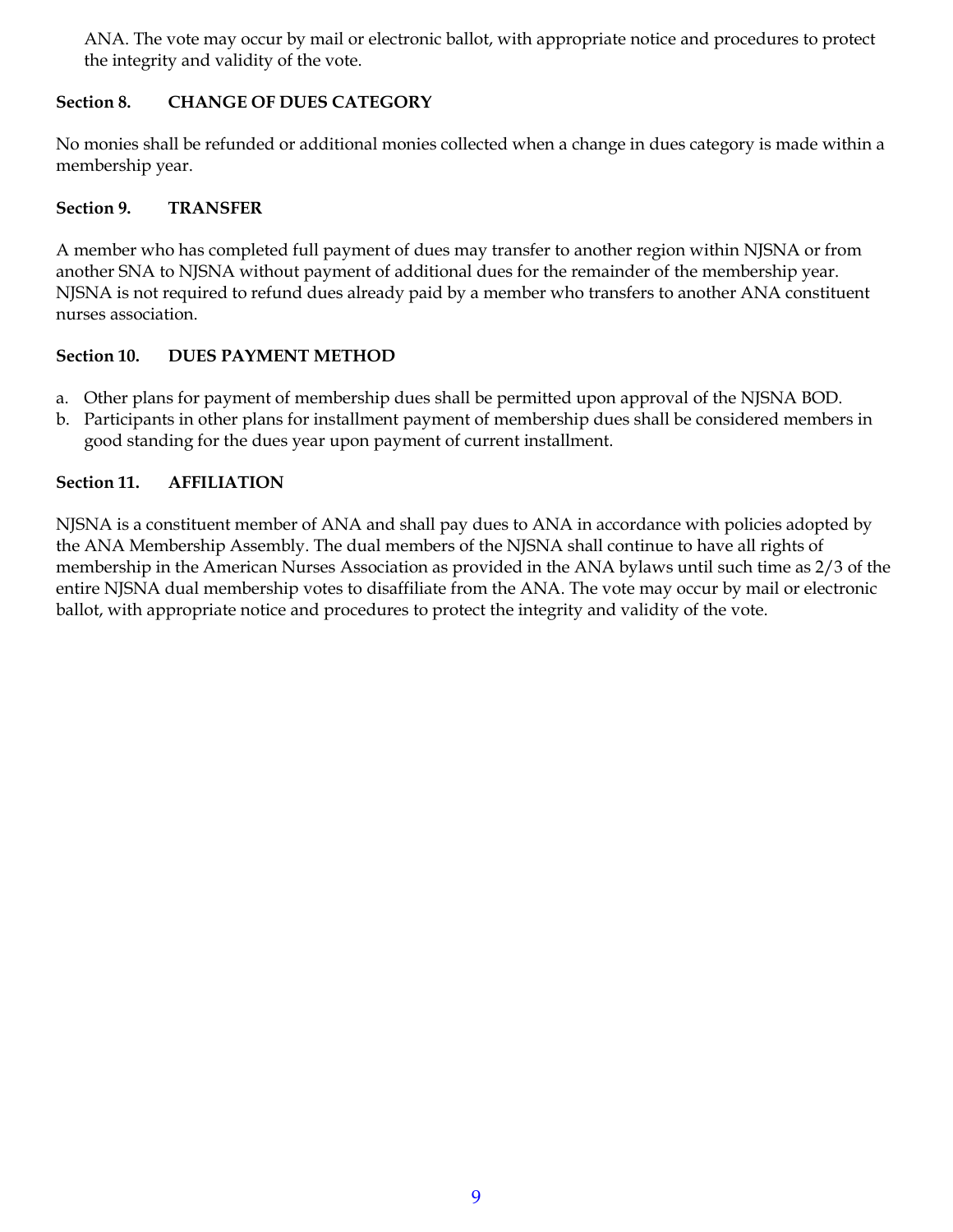ANA. The vote may occur by mail or electronic ballot, with appropriate notice and procedures to protect the integrity and validity of the vote.

#### **Section 8. CHANGE OF DUES CATEGORY**

No monies shall be refunded or additional monies collected when a change in dues category is made within a membership year.

#### **Section 9. TRANSFER**

A member who has completed full payment of dues may transfer to another region within NJSNA or from another SNA to NJSNA without payment of additional dues for the remainder of the membership year. NJSNA is not required to refund dues already paid by a member who transfers to another ANA constituent nurses association.

#### **Section 10. DUES PAYMENT METHOD**

- a. Other plans for payment of membership dues shall be permitted upon approval of the NJSNA BOD.
- b. Participants in other plans for installment payment of membership dues shall be considered members in good standing for the dues year upon payment of current installment.

#### **Section 11. AFFILIATION**

NJSNA is a constituent member of ANA and shall pay dues to ANA in accordance with policies adopted by the ANA Membership Assembly. The dual members of the NJSNA shall continue to have all rights of membership in the American Nurses Association as provided in the ANA bylaws until such time as 2/3 of the entire NJSNA dual membership votes to disaffiliate from the ANA. The vote may occur by mail or electronic ballot, with appropriate notice and procedures to protect the integrity and validity of the vote.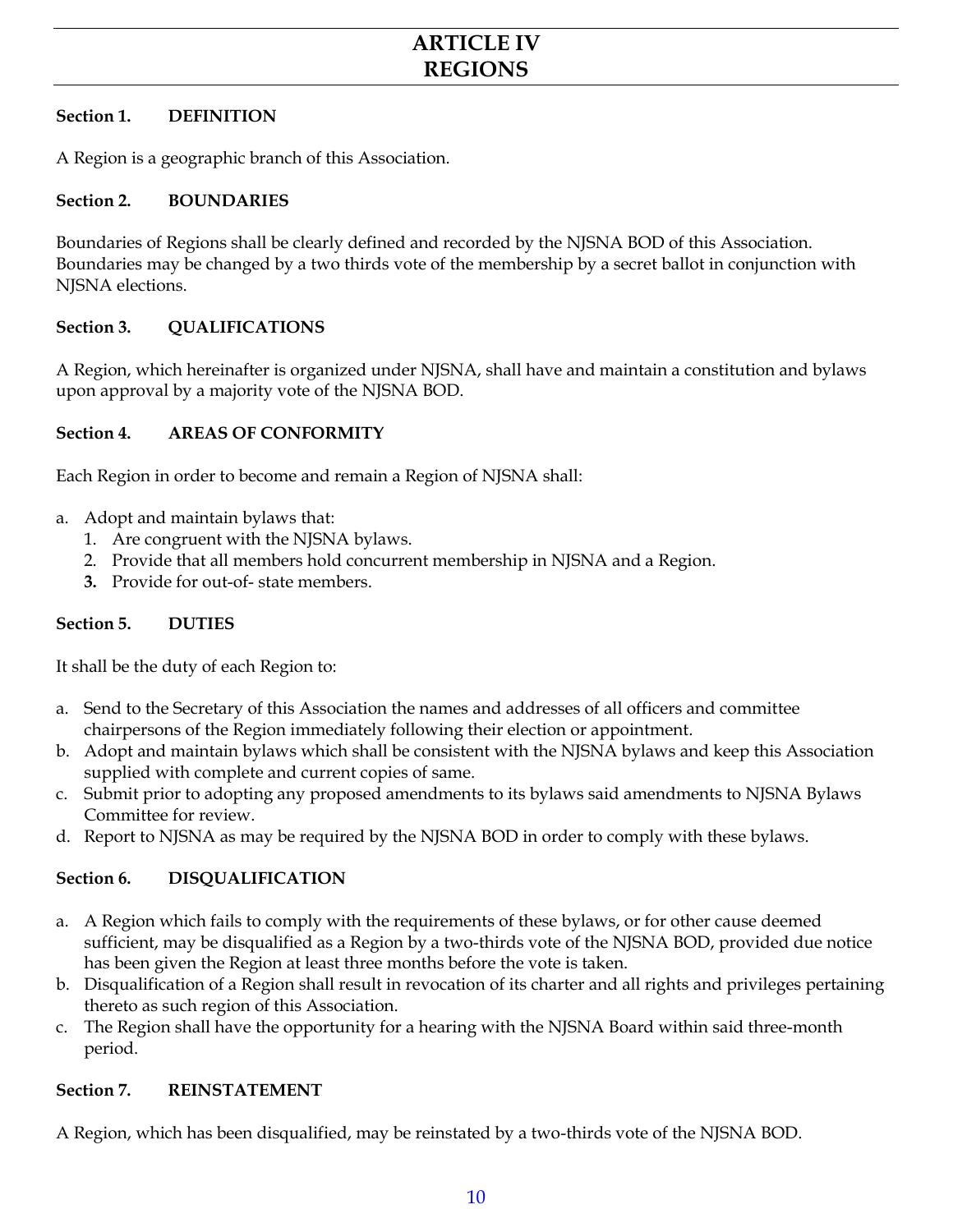## **ARTICLE IV REGIONS**

#### **Section 1. DEFINITION**

A Region is a geographic branch of this Association.

#### **Section 2. BOUNDARIES**

Boundaries of Regions shall be clearly defined and recorded by the NJSNA BOD of this Association. Boundaries may be changed by a two thirds vote of the membership by a secret ballot in conjunction with NISNA elections.

#### **Section 3. QUALIFICATIONS**

A Region, which hereinafter is organized under NJSNA, shall have and maintain a constitution and bylaws upon approval by a majority vote of the NJSNA BOD.

#### **Section 4. AREAS OF CONFORMITY**

Each Region in order to become and remain a Region of NJSNA shall:

- a. Adopt and maintain bylaws that:
	- 1. Are congruent with the NJSNA bylaws.
	- 2. Provide that all members hold concurrent membership in NJSNA and a Region.
	- **3.** Provide for out-of- state members.

#### **Section 5. DUTIES**

It shall be the duty of each Region to:

- a. Send to the Secretary of this Association the names and addresses of all officers and committee chairpersons of the Region immediately following their election or appointment.
- b. Adopt and maintain bylaws which shall be consistent with the NJSNA bylaws and keep this Association supplied with complete and current copies of same.
- c. Submit prior to adopting any proposed amendments to its bylaws said amendments to NJSNA Bylaws Committee for review.
- d. Report to NJSNA as may be required by the NJSNA BOD in order to comply with these bylaws.

#### **Section 6. DISQUALIFICATION**

- a. A Region which fails to comply with the requirements of these bylaws, or for other cause deemed sufficient, may be disqualified as a Region by a two-thirds vote of the NJSNA BOD, provided due notice has been given the Region at least three months before the vote is taken.
- b. Disqualification of a Region shall result in revocation of its charter and all rights and privileges pertaining thereto as such region of this Association.
- c. The Region shall have the opportunity for a hearing with the NJSNA Board within said three-month period.

#### **Section 7. REINSTATEMENT**

A Region, which has been disqualified, may be reinstated by a two-thirds vote of the NJSNA BOD.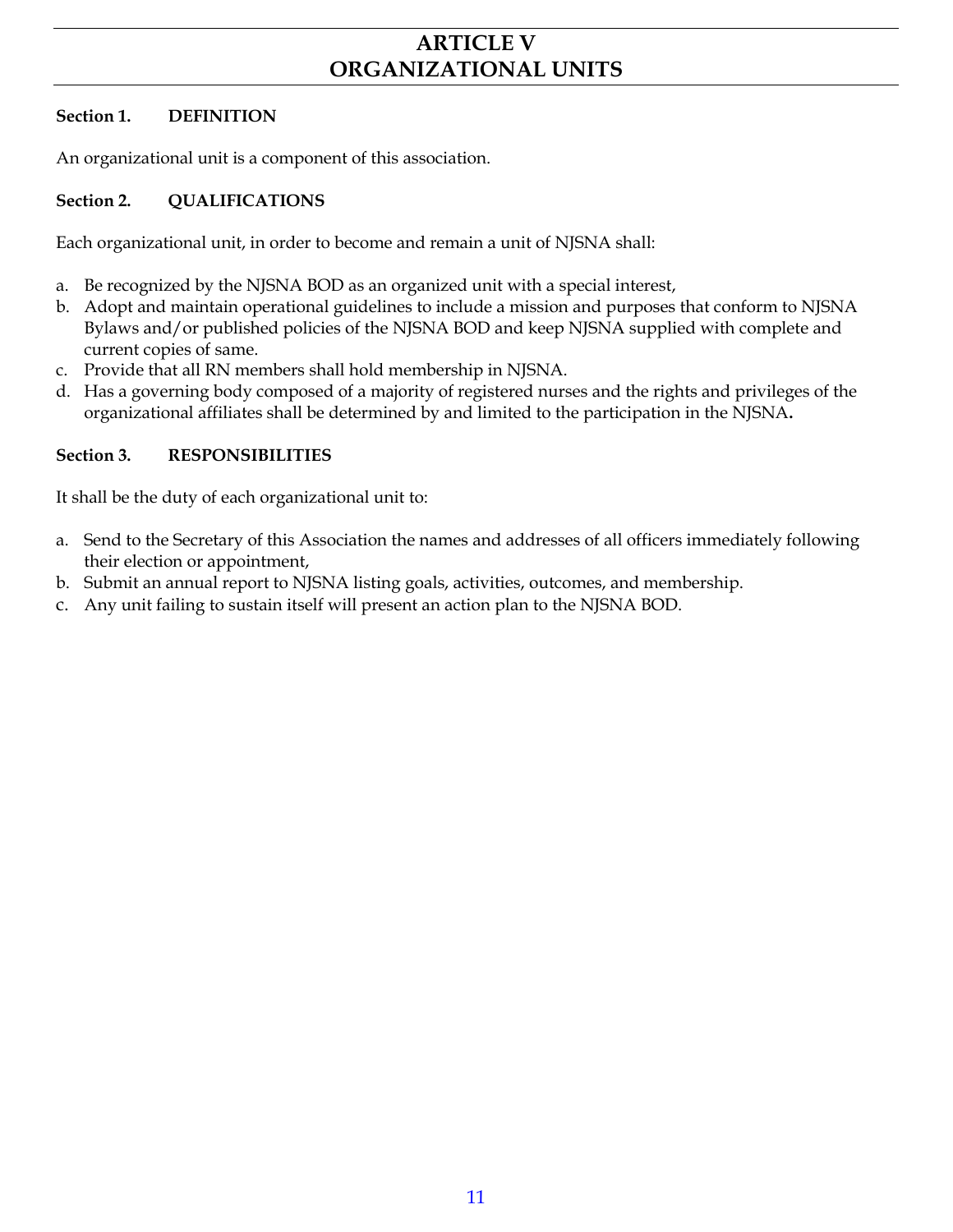## **ARTICLE V ORGANIZATIONAL UNITS**

#### **Section 1. DEFINITION**

An organizational unit is a component of this association.

#### **Section 2. QUALIFICATIONS**

Each organizational unit, in order to become and remain a unit of NJSNA shall:

- a. Be recognized by the NJSNA BOD as an organized unit with a special interest,
- b. Adopt and maintain operational guidelines to include a mission and purposes that conform to NJSNA Bylaws and/or published policies of the NJSNA BOD and keep NJSNA supplied with complete and current copies of same.
- c. Provide that all RN members shall hold membership in NJSNA.
- d. Has a governing body composed of a majority of registered nurses and the rights and privileges of the organizational affiliates shall be determined by and limited to the participation in the NJSNA**.**

#### **Section 3. RESPONSIBILITIES**

It shall be the duty of each organizational unit to:

- a. Send to the Secretary of this Association the names and addresses of all officers immediately following their election or appointment,
- b. Submit an annual report to NJSNA listing goals, activities, outcomes, and membership.
- c. Any unit failing to sustain itself will present an action plan to the NJSNA BOD.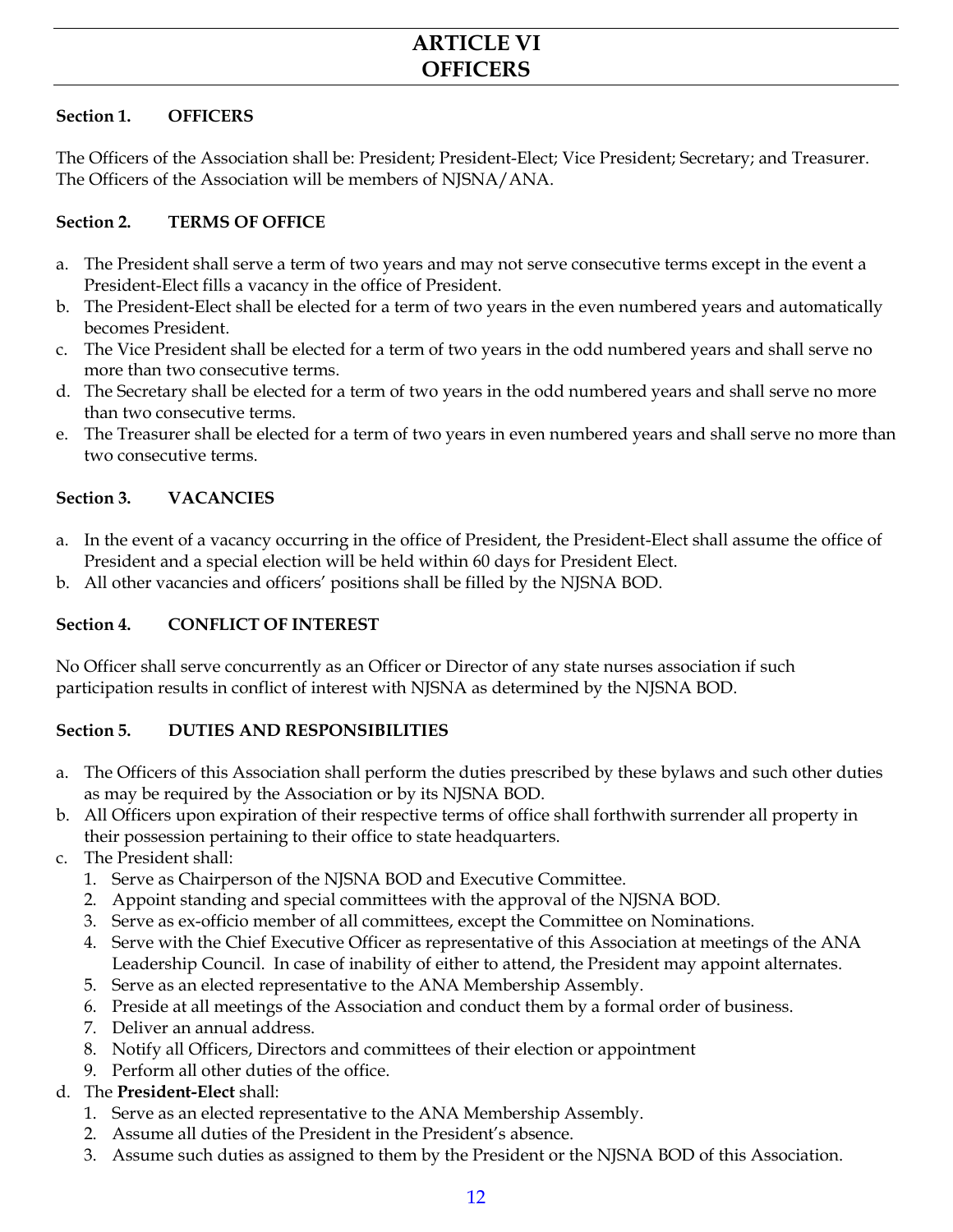## **ARTICLE VI OFFICERS**

#### **Section 1. OFFICERS**

The Officers of the Association shall be: President; President-Elect; Vice President; Secretary; and Treasurer. The Officers of the Association will be members of NJSNA/ANA.

#### **Section 2. TERMS OF OFFICE**

- a. The President shall serve a term of two years and may not serve consecutive terms except in the event a President-Elect fills a vacancy in the office of President.
- b. The President-Elect shall be elected for a term of two years in the even numbered years and automatically becomes President.
- c. The Vice President shall be elected for a term of two years in the odd numbered years and shall serve no more than two consecutive terms.
- d. The Secretary shall be elected for a term of two years in the odd numbered years and shall serve no more than two consecutive terms.
- e. The Treasurer shall be elected for a term of two years in even numbered years and shall serve no more than two consecutive terms.

#### **Section 3. VACANCIES**

- a. In the event of a vacancy occurring in the office of President, the President-Elect shall assume the office of President and a special election will be held within 60 days for President Elect.
- b. All other vacancies and officers' positions shall be filled by the NJSNA BOD.

#### **Section 4. CONFLICT OF INTEREST**

No Officer shall serve concurrently as an Officer or Director of any state nurses association if such participation results in conflict of interest with NJSNA as determined by the NJSNA BOD.

#### **Section 5. DUTIES AND RESPONSIBILITIES**

- a. The Officers of this Association shall perform the duties prescribed by these bylaws and such other duties as may be required by the Association or by its NJSNA BOD.
- b. All Officers upon expiration of their respective terms of office shall forthwith surrender all property in their possession pertaining to their office to state headquarters.
- c. The President shall:
	- 1. Serve as Chairperson of the NJSNA BOD and Executive Committee.
	- 2. Appoint standing and special committees with the approval of the NJSNA BOD.
	- 3. Serve as ex-officio member of all committees, except the Committee on Nominations.
	- 4. Serve with the Chief Executive Officer as representative of this Association at meetings of the ANA Leadership Council. In case of inability of either to attend, the President may appoint alternates.
	- 5. Serve as an elected representative to the ANA Membership Assembly.
	- 6. Preside at all meetings of the Association and conduct them by a formal order of business.
	- 7. Deliver an annual address.
	- 8. Notify all Officers, Directors and committees of their election or appointment
	- 9. Perform all other duties of the office.

#### d. The **President-Elect** shall:

- 1. Serve as an elected representative to the ANA Membership Assembly.
- 2. Assume all duties of the President in the President's absence.
- 3. Assume such duties as assigned to them by the President or the NJSNA BOD of this Association.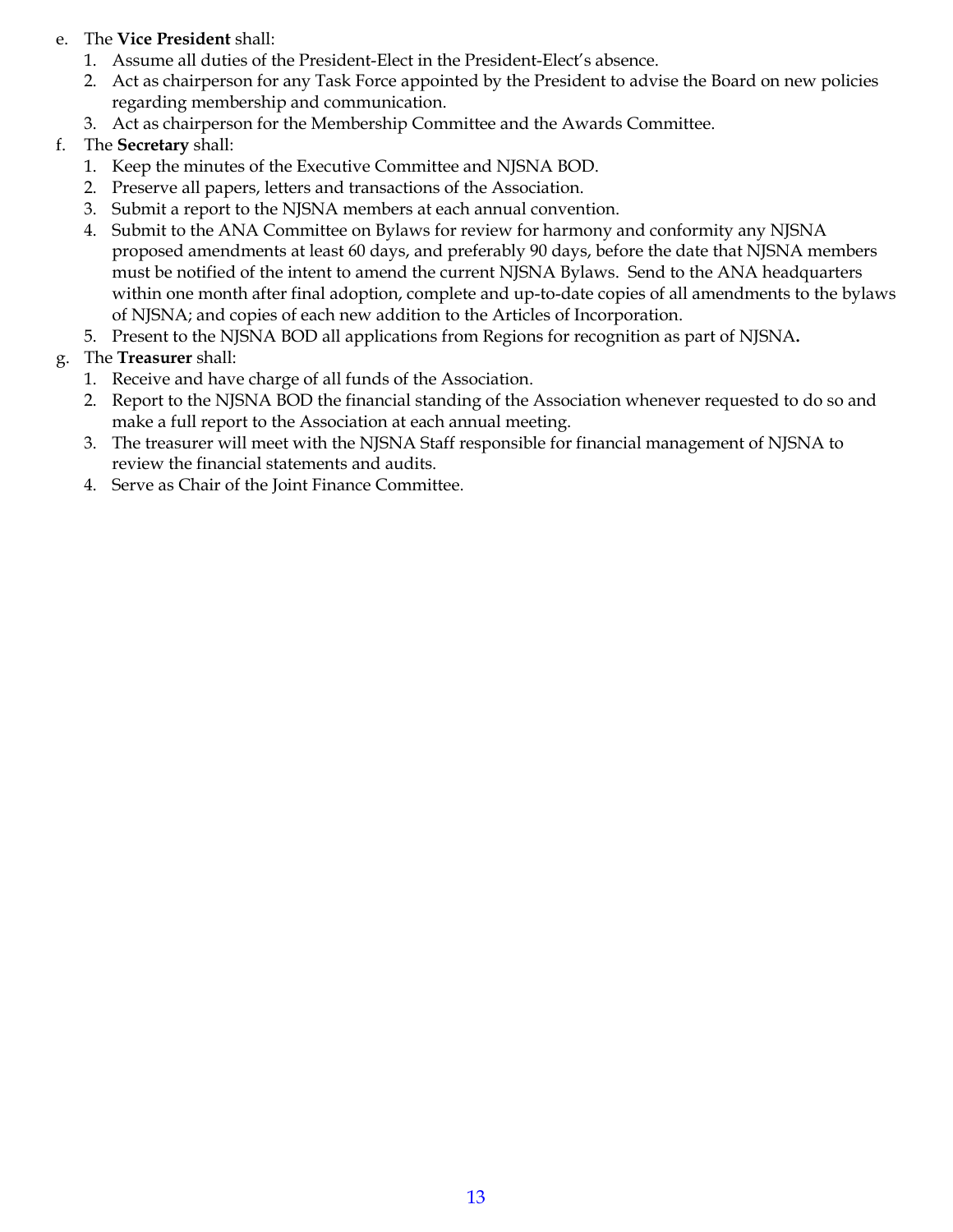- e. The **Vice President** shall:
	- 1. Assume all duties of the President-Elect in the President-Elect's absence.
	- 2. Act as chairperson for any Task Force appointed by the President to advise the Board on new policies regarding membership and communication.
	- 3. Act as chairperson for the Membership Committee and the Awards Committee.
- f. The **Secretary** shall:
	- 1. Keep the minutes of the Executive Committee and NJSNA BOD.
	- 2. Preserve all papers, letters and transactions of the Association.
	- 3. Submit a report to the NJSNA members at each annual convention.
	- 4. Submit to the ANA Committee on Bylaws for review for harmony and conformity any NJSNA proposed amendments at least 60 days, and preferably 90 days, before the date that NJSNA members must be notified of the intent to amend the current NJSNA Bylaws.Send to the ANA headquarters within one month after final adoption, complete and up-to-date copies of all amendments to the bylaws of NJSNA; and copies of each new addition to the Articles of Incorporation.
	- 5. Present to the NJSNA BOD all applications from Regions for recognition as part of NJSNA**.**

#### g. The **Treasurer** shall:

- 1. Receive and have charge of all funds of the Association.
- 2. Report to the NJSNA BOD the financial standing of the Association whenever requested to do so and make a full report to the Association at each annual meeting.
- 3. The treasurer will meet with the NJSNA Staff responsible for financial management of NJSNA to review the financial statements and audits.
- 4. Serve as Chair of the Joint Finance Committee.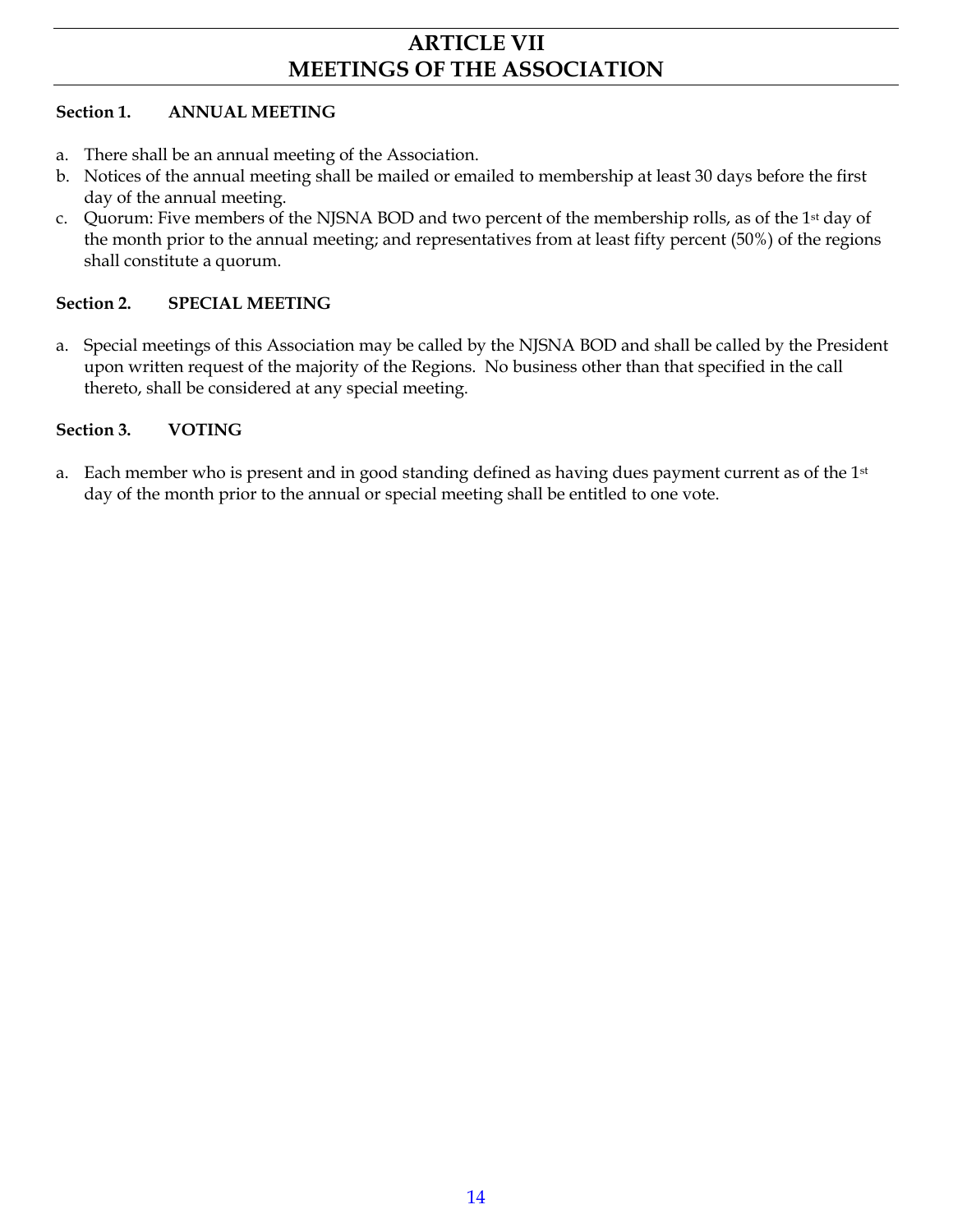## **ARTICLE VII MEETINGS OF THE ASSOCIATION**

#### **Section 1. ANNUAL MEETING**

- a. There shall be an annual meeting of the Association.
- b. Notices of the annual meeting shall be mailed or emailed to membership at least 30 days before the first day of the annual meeting.
- c. Quorum: Five members of the NJSNA BOD and two percent of the membership rolls, as of the 1st day of the month prior to the annual meeting; and representatives from at least fifty percent (50%) of the regions shall constitute a quorum.

#### **Section 2. SPECIAL MEETING**

a. Special meetings of this Association may be called by the NJSNA BOD and shall be called by the President upon written request of the majority of the Regions. No business other than that specified in the call thereto, shall be considered at any special meeting.

#### **Section 3. VOTING**

a. Each member who is present and in good standing defined as having dues payment current as of the  $1<sup>st</sup>$ day of the month prior to the annual or special meeting shall be entitled to one vote.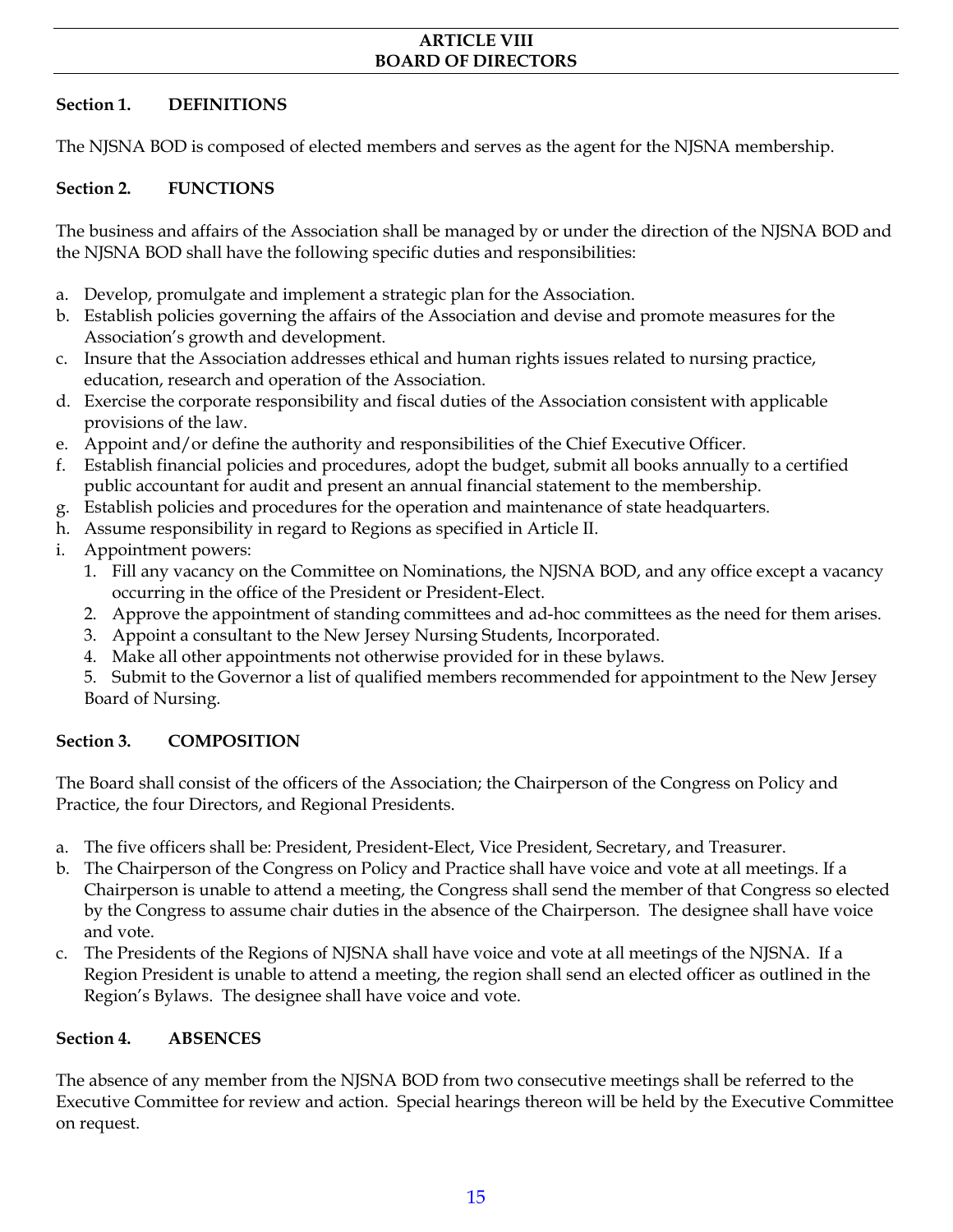#### **ARTICLE VIII BOARD OF DIRECTORS**

#### **Section 1. DEFINITIONS**

The NJSNA BOD is composed of elected members and serves as the agent for the NJSNA membership.

#### **Section 2. FUNCTIONS**

The business and affairs of the Association shall be managed by or under the direction of the NJSNA BOD and the NJSNA BOD shall have the following specific duties and responsibilities:

- a. Develop, promulgate and implement a strategic plan for the Association.
- b. Establish policies governing the affairs of the Association and devise and promote measures for the Association's growth and development.
- c. Insure that the Association addresses ethical and human rights issues related to nursing practice, education, research and operation of the Association.
- d. Exercise the corporate responsibility and fiscal duties of the Association consistent with applicable provisions of the law.
- e. Appoint and/or define the authority and responsibilities of the Chief Executive Officer.
- f. Establish financial policies and procedures, adopt the budget, submit all books annually to a certified public accountant for audit and present an annual financial statement to the membership.
- g. Establish policies and procedures for the operation and maintenance of state headquarters.
- h. Assume responsibility in regard to Regions as specified in Article II.
- i. Appointment powers:
	- 1. Fill any vacancy on the Committee on Nominations, the NJSNA BOD, and any office except a vacancy occurring in the office of the President or President-Elect.
	- 2. Approve the appointment of standing committees and ad-hoc committees as the need for them arises.
	- 3. Appoint a consultant to the New Jersey Nursing Students, Incorporated.
	- 4. Make all other appointments not otherwise provided for in these bylaws.
	- 5. Submit to the Governor a list of qualified members recommended for appointment to the New Jersey Board of Nursing.

#### **Section 3. COMPOSITION**

The Board shall consist of the officers of the Association; the Chairperson of the Congress on Policy and Practice, the four Directors, and Regional Presidents.

- a. The five officers shall be: President, President-Elect, Vice President, Secretary, and Treasurer.
- b. The Chairperson of the Congress on Policy and Practice shall have voice and vote at all meetings. If a Chairperson is unable to attend a meeting, the Congress shall send the member of that Congress so elected by the Congress to assume chair duties in the absence of the Chairperson. The designee shall have voice and vote.
- c. The Presidents of the Regions of NJSNA shall have voice and vote at all meetings of the NJSNA. If a Region President is unable to attend a meeting, the region shall send an elected officer as outlined in the Region's Bylaws. The designee shall have voice and vote.

#### **Section 4. ABSENCES**

The absence of any member from the NJSNA BOD from two consecutive meetings shall be referred to the Executive Committee for review and action. Special hearings thereon will be held by the Executive Committee on request.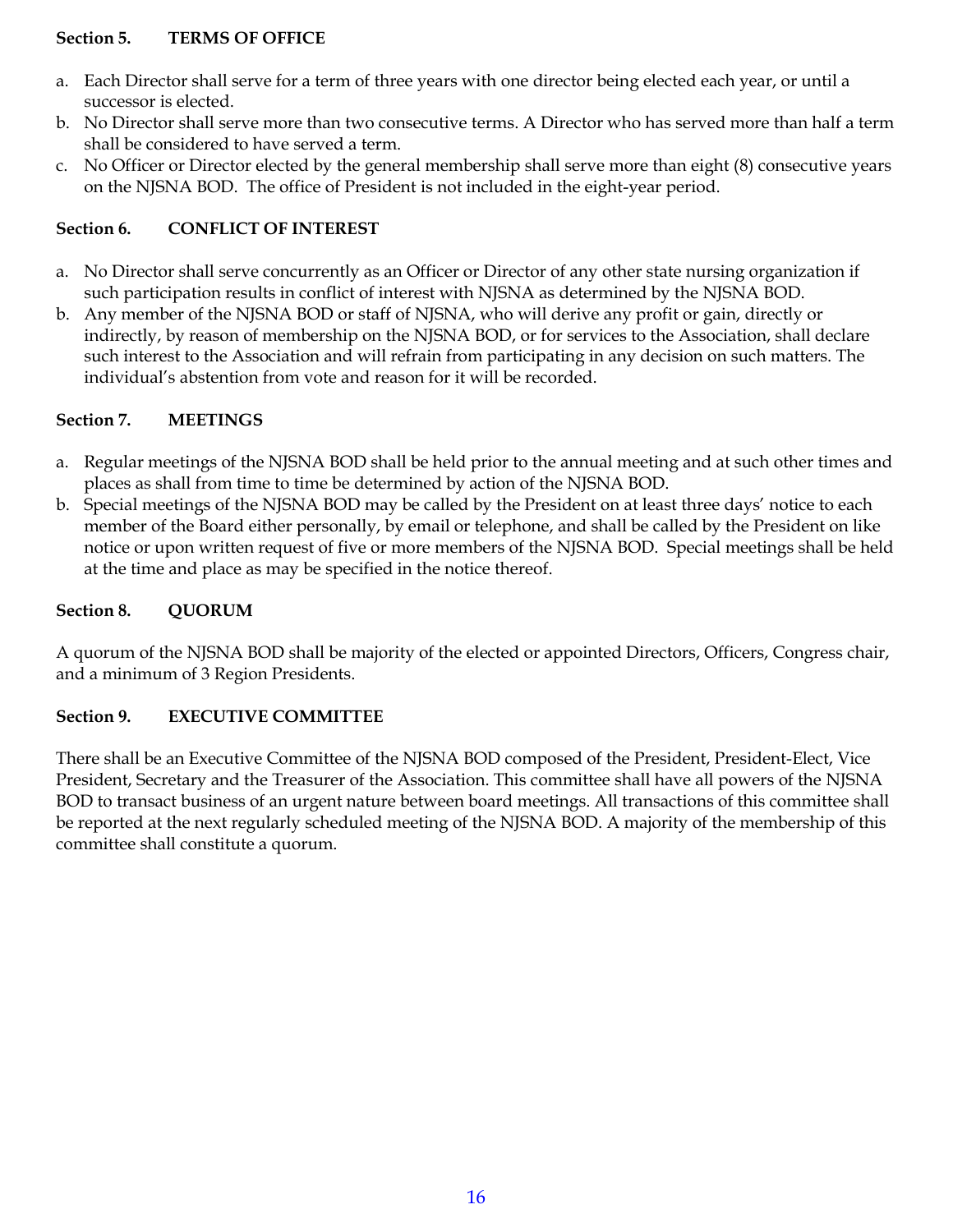#### **Section 5. TERMS OF OFFICE**

- a. Each Director shall serve for a term of three years with one director being elected each year, or until a successor is elected.
- b. No Director shall serve more than two consecutive terms. A Director who has served more than half a term shall be considered to have served a term.
- c. No Officer or Director elected by the general membership shall serve more than eight (8) consecutive years on the NJSNA BOD. The office of President is not included in the eight-year period.

#### **Section 6. CONFLICT OF INTEREST**

- a. No Director shall serve concurrently as an Officer or Director of any other state nursing organization if such participation results in conflict of interest with NJSNA as determined by the NJSNA BOD.
- b. Any member of the NJSNA BOD or staff of NJSNA, who will derive any profit or gain, directly or indirectly, by reason of membership on the NJSNA BOD, or for services to the Association, shall declare such interest to the Association and will refrain from participating in any decision on such matters. The individual's abstention from vote and reason for it will be recorded.

#### **Section 7. MEETINGS**

- a. Regular meetings of the NJSNA BOD shall be held prior to the annual meeting and at such other times and places as shall from time to time be determined by action of the NJSNA BOD.
- b. Special meetings of the NJSNA BOD may be called by the President on at least three days' notice to each member of the Board either personally, by email or telephone, and shall be called by the President on like notice or upon written request of five or more members of the NJSNA BOD. Special meetings shall be held at the time and place as may be specified in the notice thereof.

#### **Section 8. QUORUM**

A quorum of the NJSNA BOD shall be majority of the elected or appointed Directors, Officers, Congress chair, and a minimum of 3 Region Presidents.

#### **Section 9. EXECUTIVE COMMITTEE**

There shall be an Executive Committee of the NJSNA BOD composed of the President, President-Elect, Vice President, Secretary and the Treasurer of the Association. This committee shall have all powers of the NJSNA BOD to transact business of an urgent nature between board meetings. All transactions of this committee shall be reported at the next regularly scheduled meeting of the NJSNA BOD. A majority of the membership of this committee shall constitute a quorum.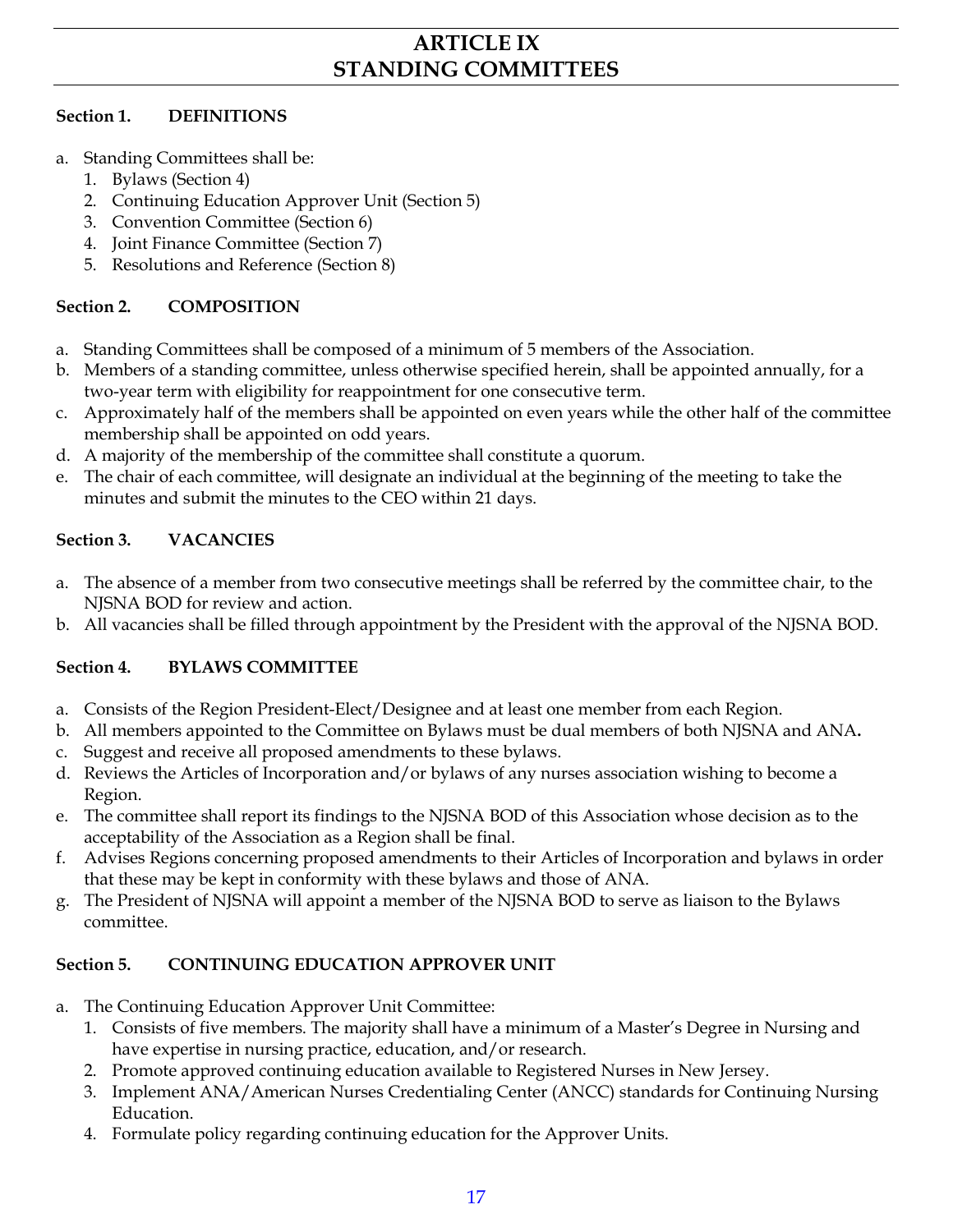## **ARTICLE IX STANDING COMMITTEES**

#### **Section 1. DEFINITIONS**

- Standing Committees shall be:
	- 1. Bylaws (Section 4)
	- 2. Continuing Education Approver Unit (Section 5)
	- 3. Convention Committee (Section 6)
	- 4. Joint Finance Committee (Section 7)
	- 5. Resolutions and Reference (Section 8)

#### **Section 2. COMPOSITION**

- a. Standing Committees shall be composed of a minimum of 5 members of the Association.
- b. Members of a standing committee, unless otherwise specified herein, shall be appointed annually, for a two-year term with eligibility for reappointment for one consecutive term.
- c. Approximately half of the members shall be appointed on even years while the other half of the committee membership shall be appointed on odd years.
- d. A majority of the membership of the committee shall constitute a quorum.
- e. The chair of each committee, will designate an individual at the beginning of the meeting to take the minutes and submit the minutes to the CEO within 21 days.

#### **Section 3. VACANCIES**

- a. The absence of a member from two consecutive meetings shall be referred by the committee chair, to the NJSNA BOD for review and action.
- b. All vacancies shall be filled through appointment by the President with the approval of the NJSNA BOD.

#### **Section 4. BYLAWS COMMITTEE**

- a. Consists of the Region President-Elect/Designee and at least one member from each Region.
- b. All members appointed to the Committee on Bylaws must be dual members of both NJSNA and ANA**.**
- c. Suggest and receive all proposed amendments to these bylaws.
- d. Reviews the Articles of Incorporation and/or bylaws of any nurses association wishing to become a Region.
- e. The committee shall report its findings to the NJSNA BOD of this Association whose decision as to the acceptability of the Association as a Region shall be final.
- f. Advises Regions concerning proposed amendments to their Articles of Incorporation and bylaws in order that these may be kept in conformity with these bylaws and those of ANA.
- g. The President of NJSNA will appoint a member of the NJSNA BOD to serve as liaison to the Bylaws committee.

#### **Section 5. CONTINUING EDUCATION APPROVER UNIT**

- a. The Continuing Education Approver Unit Committee:
	- 1. Consists of five members. The majority shall have a minimum of a Master's Degree in Nursing and have expertise in nursing practice, education, and/or research.
	- 2. Promote approved continuing education available to Registered Nurses in New Jersey.
	- 3. Implement ANA/American Nurses Credentialing Center (ANCC) standards for Continuing Nursing Education.
	- 4. Formulate policy regarding continuing education for the Approver Units.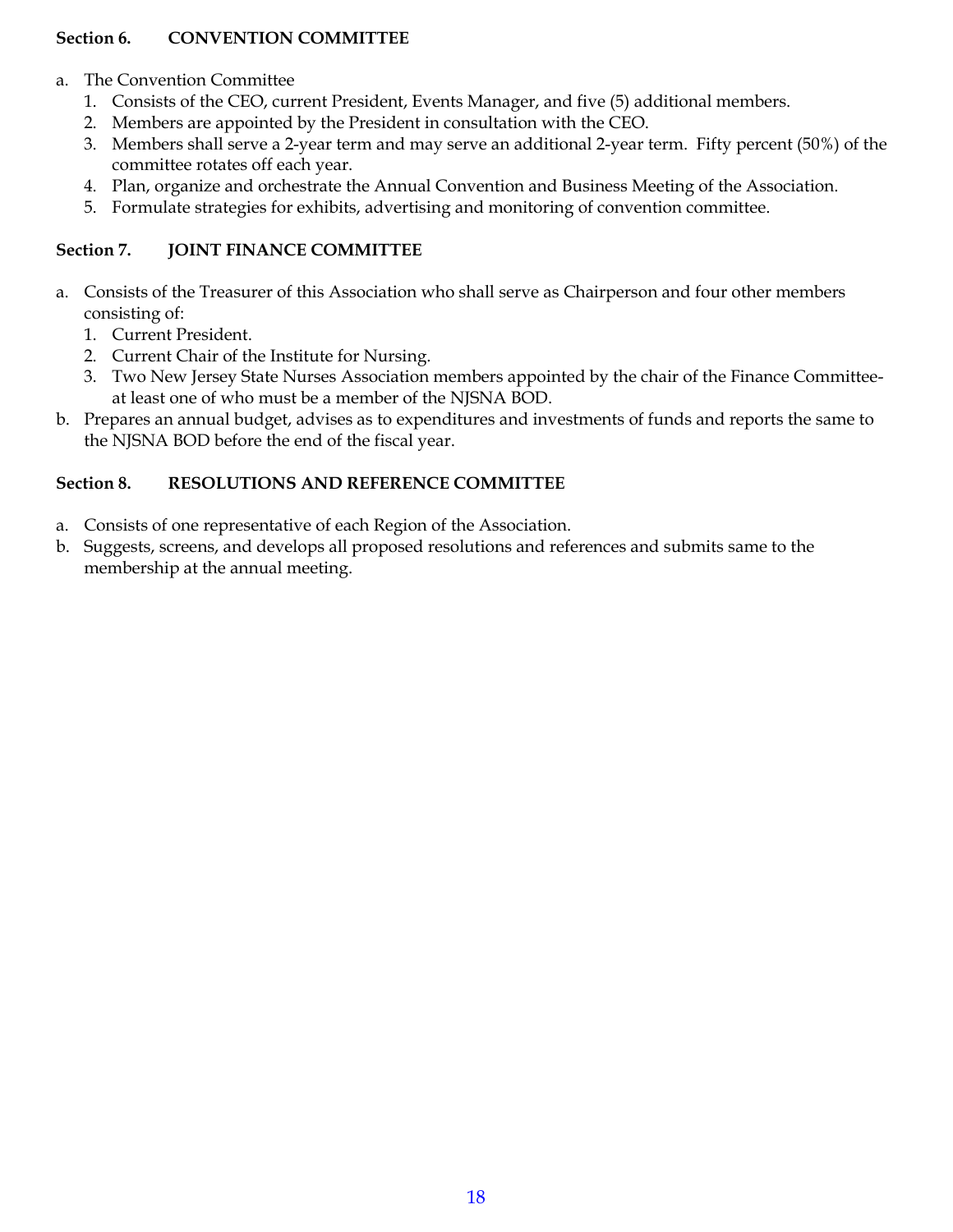#### **Section 6. CONVENTION COMMITTEE**

#### a. The Convention Committee

- 1. Consists of the CEO, current President, Events Manager, and five (5) additional members.
- 2. Members are appointed by the President in consultation with the CEO.
- 3. Members shall serve a 2-year term and may serve an additional 2-year term. Fifty percent (50%) of the committee rotates off each year.
- 4. Plan, organize and orchestrate the Annual Convention and Business Meeting of the Association.
- 5. Formulate strategies for exhibits, advertising and monitoring of convention committee.

#### **Section 7. JOINT FINANCE COMMITTEE**

- a. Consists of the Treasurer of this Association who shall serve as Chairperson and four other members consisting of:
	- 1. Current President.
	- 2. Current Chair of the Institute for Nursing.
	- 3. Two New Jersey State Nurses Association members appointed by the chair of the Finance Committeeat least one of who must be a member of the NJSNA BOD.
- b. Prepares an annual budget, advises as to expenditures and investments of funds and reports the same to the NJSNA BOD before the end of the fiscal year.

#### **Section 8. RESOLUTIONS AND REFERENCE COMMITTEE**

- a. Consists of one representative of each Region of the Association.
- b. Suggests, screens, and develops all proposed resolutions and references and submits same to the membership at the annual meeting.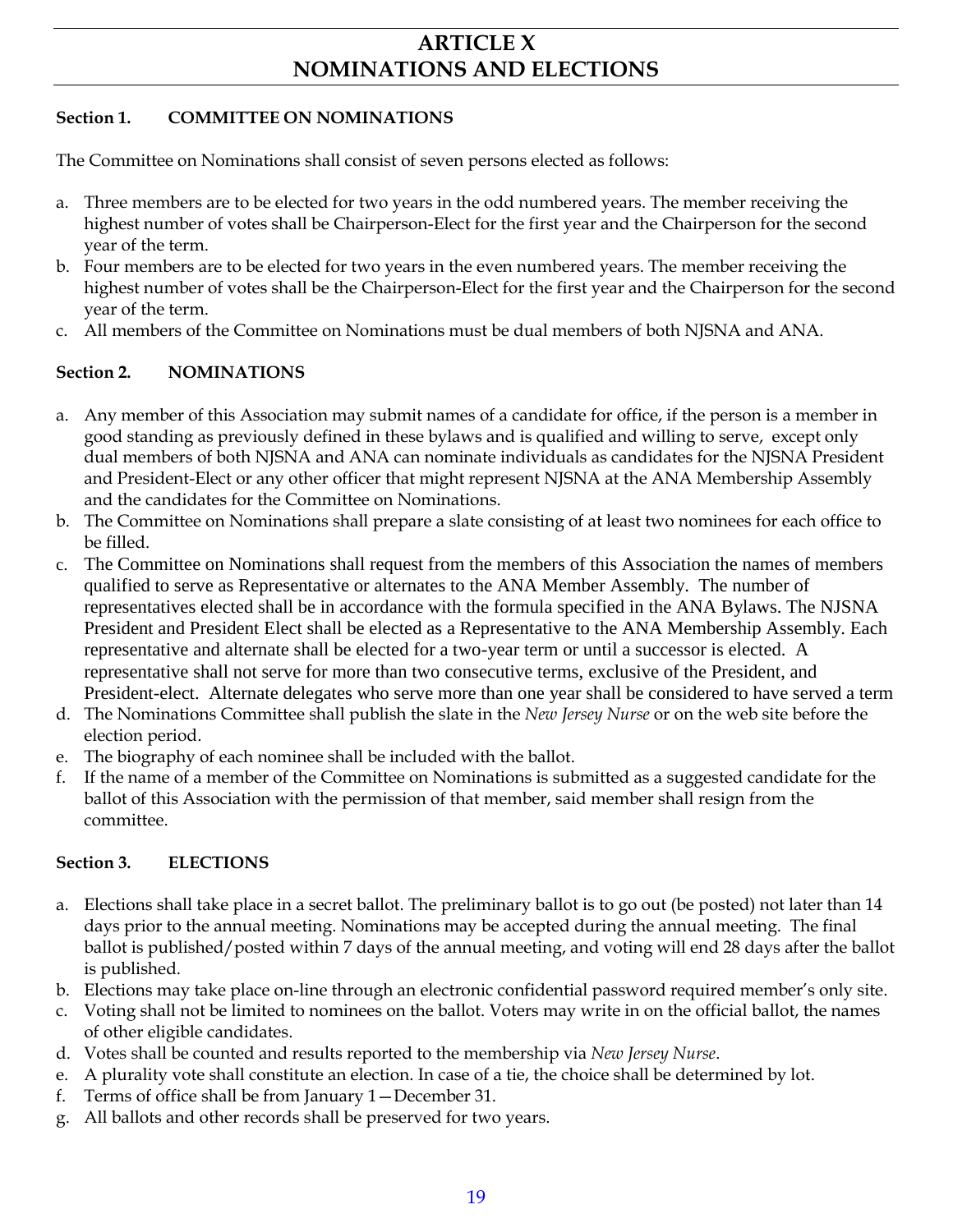## **ARTICLE X NOMINATIONS AND ELECTIONS**

#### **Section 1. COMMITTEE ON NOMINATIONS**

The Committee on Nominations shall consist of seven persons elected as follows:

- a. Three members are to be elected for two years in the odd numbered years. The member receiving the highest number of votes shall be Chairperson-Elect for the first year and the Chairperson for the second year of the term.
- b. Four members are to be elected for two years in the even numbered years. The member receiving the highest number of votes shall be the Chairperson-Elect for the first year and the Chairperson for the second year of the term.
- c. All members of the Committee on Nominations must be dual members of both NJSNA and ANA.

#### **Section 2. NOMINATIONS**

- a. Any member of this Association may submit names of a candidate for office, if the person is a member in good standing as previously defined in these bylaws and is qualified and willing to serve, except only dual members of both NJSNA and ANA can nominate individuals as candidates for the NJSNA President and President-Elect or any other officer that might represent NJSNA at the ANA Membership Assembly and the candidates for the Committee on Nominations.
- b. The Committee on Nominations shall prepare a slate consisting of at least two nominees for each office to be filled.
- c. The Committee on Nominations shall request from the members of this Association the names of members qualified to serve as Representative or alternates to the ANA Member Assembly. The number of representatives elected shall be in accordance with the formula specified in the ANA Bylaws. The NJSNA President and President Elect shall be elected as a Representative to the ANA Membership Assembly. Each representative and alternate shall be elected for a two-year term or until a successor is elected. A representative shall not serve for more than two consecutive terms, exclusive of the President, and President-elect. Alternate delegates who serve more than one year shall be considered to have served a term
- d. The Nominations Committee shall publish the slate in the *New Jersey Nurse* or on the web site before the election period.
- e. The biography of each nominee shall be included with the ballot.
- f. If the name of a member of the Committee on Nominations is submitted as a suggested candidate for the ballot of this Association with the permission of that member, said member shall resign from the committee.

#### **Section 3. ELECTIONS**

- a. Elections shall take place in a secret ballot. The preliminary ballot is to go out (be posted) not later than 14 days prior to the annual meeting. Nominations may be accepted during the annual meeting. The final ballot is published/posted within 7 days of the annual meeting, and voting will end 28 days after the ballot is published.
- b. Elections may take place on-line through an electronic confidential password required member's only site.
- c. Voting shall not be limited to nominees on the ballot. Voters may write in on the official ballot, the names of other eligible candidates.
- d. Votes shall be counted and results reported to the membership via *New Jersey Nurse*.
- e. A plurality vote shall constitute an election. In case of a tie, the choice shall be determined by lot.
- f. Terms of office shall be from January 1—December 31.
- g. All ballots and other records shall be preserved for two years.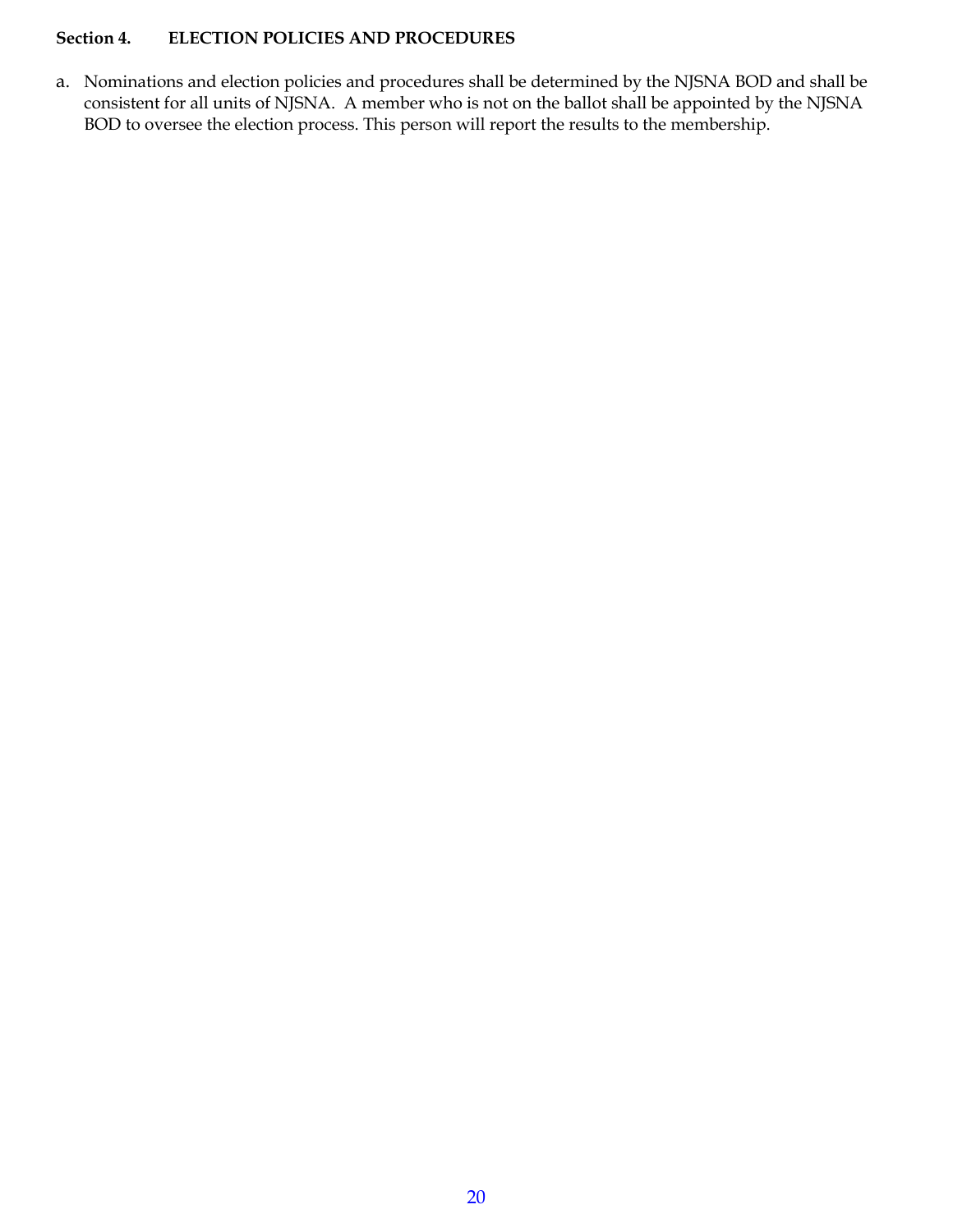#### **Section 4. ELECTION POLICIES AND PROCEDURES**

a. Nominations and election policies and procedures shall be determined by the NJSNA BOD and shall be consistent for all units of NJSNA. A member who is not on the ballot shall be appointed by the NJSNA BOD to oversee the election process. This person will report the results to the membership.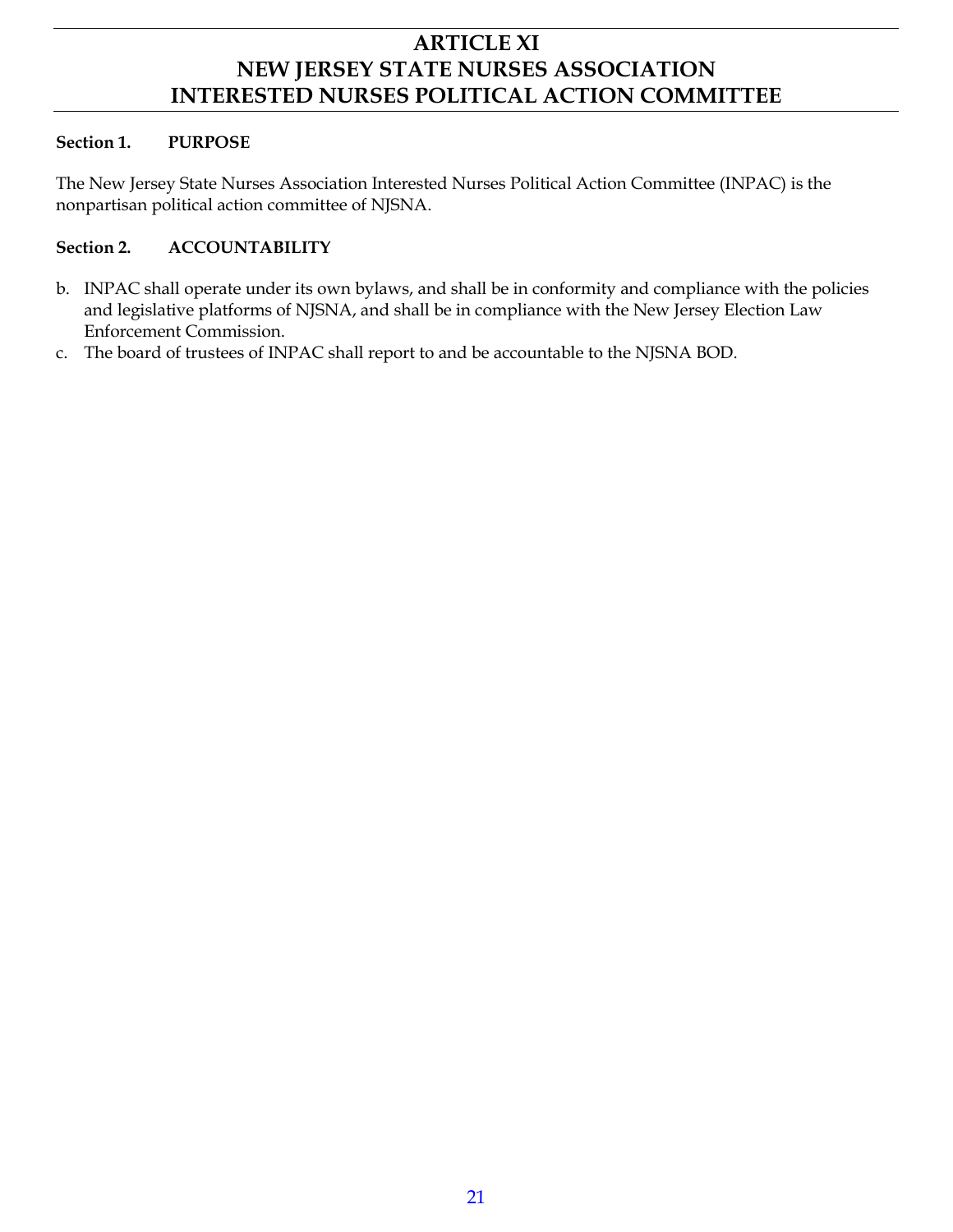## **ARTICLE XI NEW JERSEY STATE NURSES ASSOCIATION INTERESTED NURSES POLITICAL ACTION COMMITTEE**

#### **Section 1. PURPOSE**

The New Jersey State Nurses Association Interested Nurses Political Action Committee (INPAC) is the nonpartisan political action committee of NJSNA.

#### **Section 2. ACCOUNTABILITY**

- b. INPAC shall operate under its own bylaws, and shall be in conformity and compliance with the policies and legislative platforms of NJSNA, and shall be in compliance with the New Jersey Election Law Enforcement Commission.
- c. The board of trustees of INPAC shall report to and be accountable to the NJSNA BOD.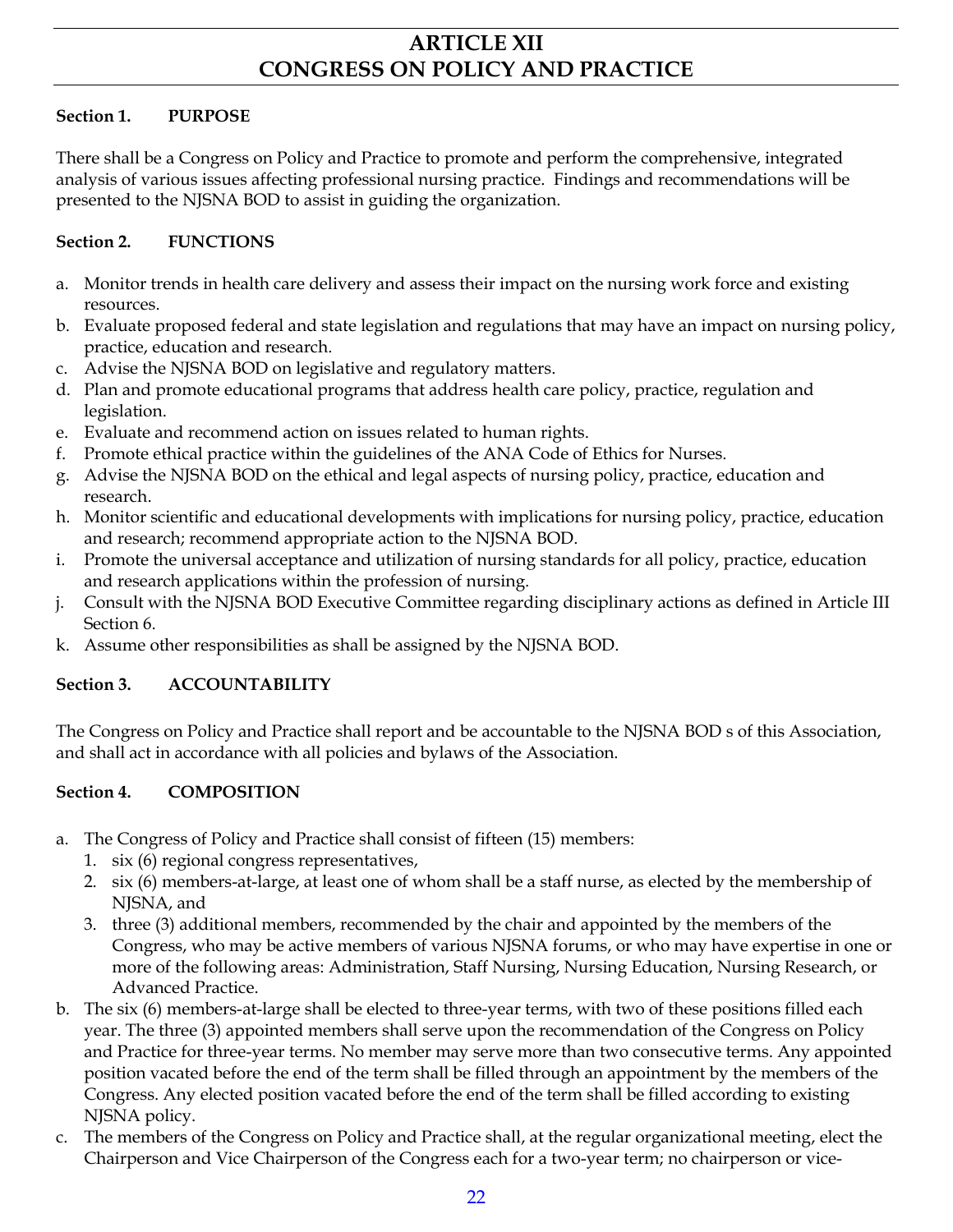## **ARTICLE XII CONGRESS ON POLICY AND PRACTICE**

#### **Section 1. PURPOSE**

There shall be a Congress on Policy and Practice to promote and perform the comprehensive, integrated analysis of various issues affecting professional nursing practice. Findings and recommendations will be presented to the NJSNA BOD to assist in guiding the organization.

#### **Section 2. FUNCTIONS**

- a. Monitor trends in health care delivery and assess their impact on the nursing work force and existing resources.
- b. Evaluate proposed federal and state legislation and regulations that may have an impact on nursing policy, practice, education and research.
- c. Advise the NJSNA BOD on legislative and regulatory matters.
- d. Plan and promote educational programs that address health care policy, practice, regulation and legislation.
- e. Evaluate and recommend action on issues related to human rights.
- f. Promote ethical practice within the guidelines of the ANA Code of Ethics for Nurses.
- g. Advise the NJSNA BOD on the ethical and legal aspects of nursing policy, practice, education and research.
- h. Monitor scientific and educational developments with implications for nursing policy, practice, education and research; recommend appropriate action to the NJSNA BOD.
- i. Promote the universal acceptance and utilization of nursing standards for all policy, practice, education and research applications within the profession of nursing.
- j. Consult with the NJSNA BOD Executive Committee regarding disciplinary actions as defined in Article III Section 6.
- k. Assume other responsibilities as shall be assigned by the NJSNA BOD.

#### **Section 3. ACCOUNTABILITY**

The Congress on Policy and Practice shall report and be accountable to the NJSNA BOD s of this Association, and shall act in accordance with all policies and bylaws of the Association.

#### **Section 4. COMPOSITION**

- a. The Congress of Policy and Practice shall consist of fifteen (15) members:
	- 1. six (6) regional congress representatives,
	- 2. six (6) members-at-large, at least one of whom shall be a staff nurse, as elected by the membership of NJSNA, and
	- 3. three (3) additional members, recommended by the chair and appointed by the members of the Congress, who may be active members of various NJSNA forums, or who may have expertise in one or more of the following areas: Administration, Staff Nursing, Nursing Education, Nursing Research, or Advanced Practice.
- b. The six (6) members-at-large shall be elected to three-year terms, with two of these positions filled each year. The three (3) appointed members shall serve upon the recommendation of the Congress on Policy and Practice for three-year terms. No member may serve more than two consecutive terms. Any appointed position vacated before the end of the term shall be filled through an appointment by the members of the Congress. Any elected position vacated before the end of the term shall be filled according to existing NJSNA policy.
- c. The members of the Congress on Policy and Practice shall, at the regular organizational meeting, elect the Chairperson and Vice Chairperson of the Congress each for a two-year term; no chairperson or vice-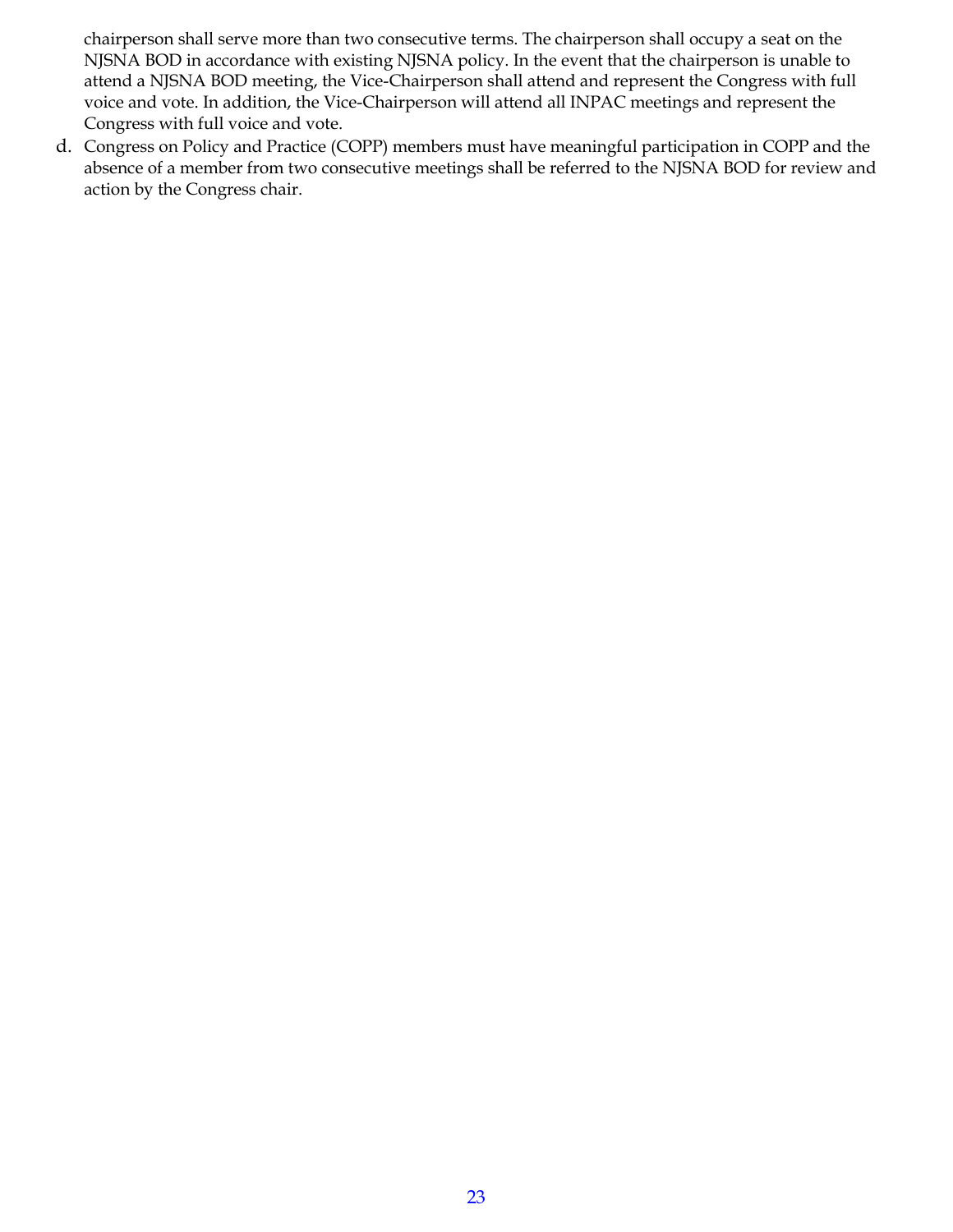chairperson shall serve more than two consecutive terms. The chairperson shall occupy a seat on the NJSNA BOD in accordance with existing NJSNA policy. In the event that the chairperson is unable to attend a NJSNA BOD meeting, the Vice-Chairperson shall attend and represent the Congress with full voice and vote. In addition, the Vice-Chairperson will attend all INPAC meetings and represent the Congress with full voice and vote.

d. Congress on Policy and Practice (COPP) members must have meaningful participation in COPP and the absence of a member from two consecutive meetings shall be referred to the NJSNA BOD for review and action by the Congress chair.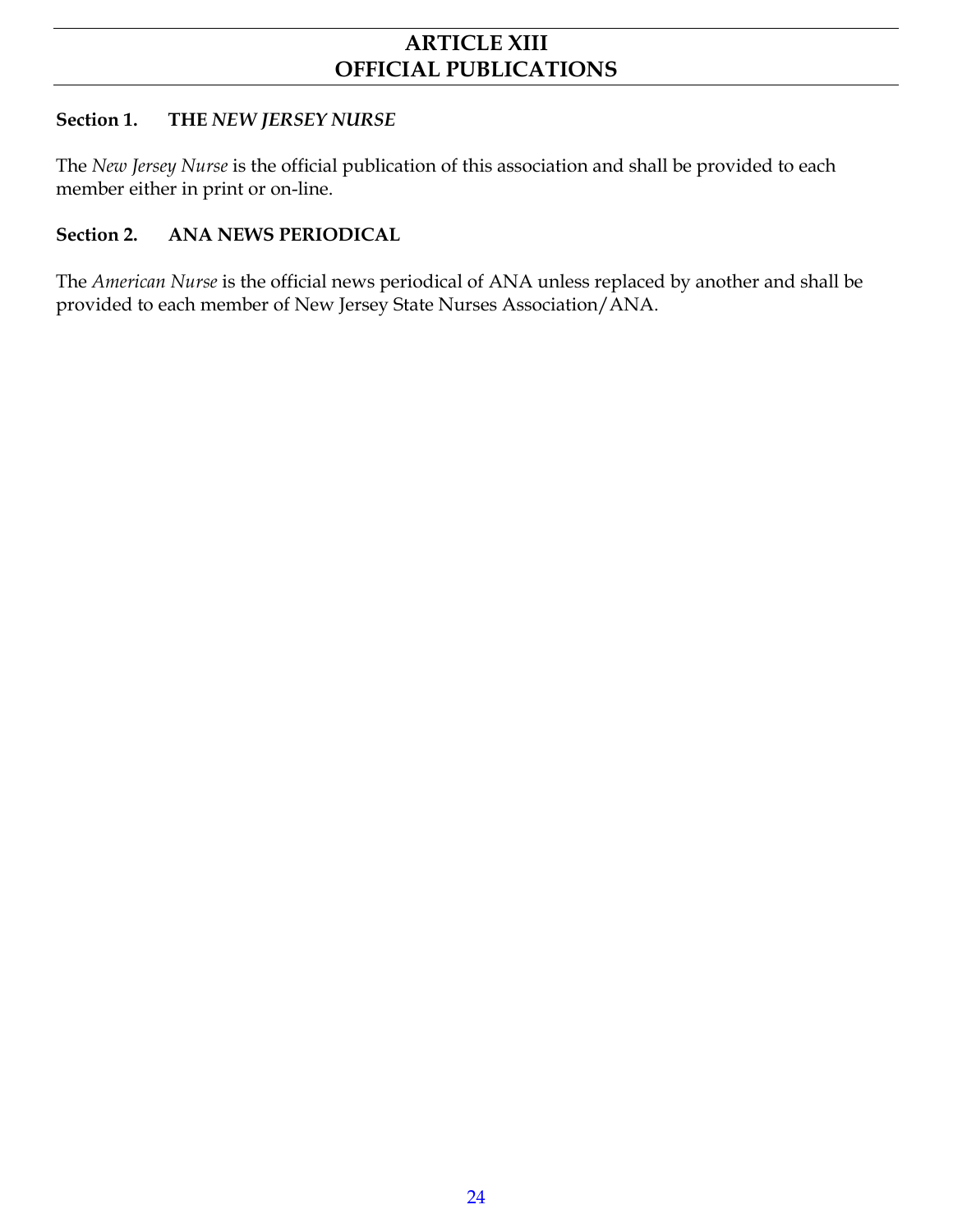## **ARTICLE XIII OFFICIAL PUBLICATIONS**

#### **Section 1. THE** *NEW JERSEY NURSE*

The *New Jersey Nurse* is the official publication of this association and shall be provided to each member either in print or on-line.

#### **Section 2. ANA NEWS PERIODICAL**

The *American Nurse* is the official news periodical of ANA unless replaced by another and shall be provided to each member of New Jersey State Nurses Association/ANA.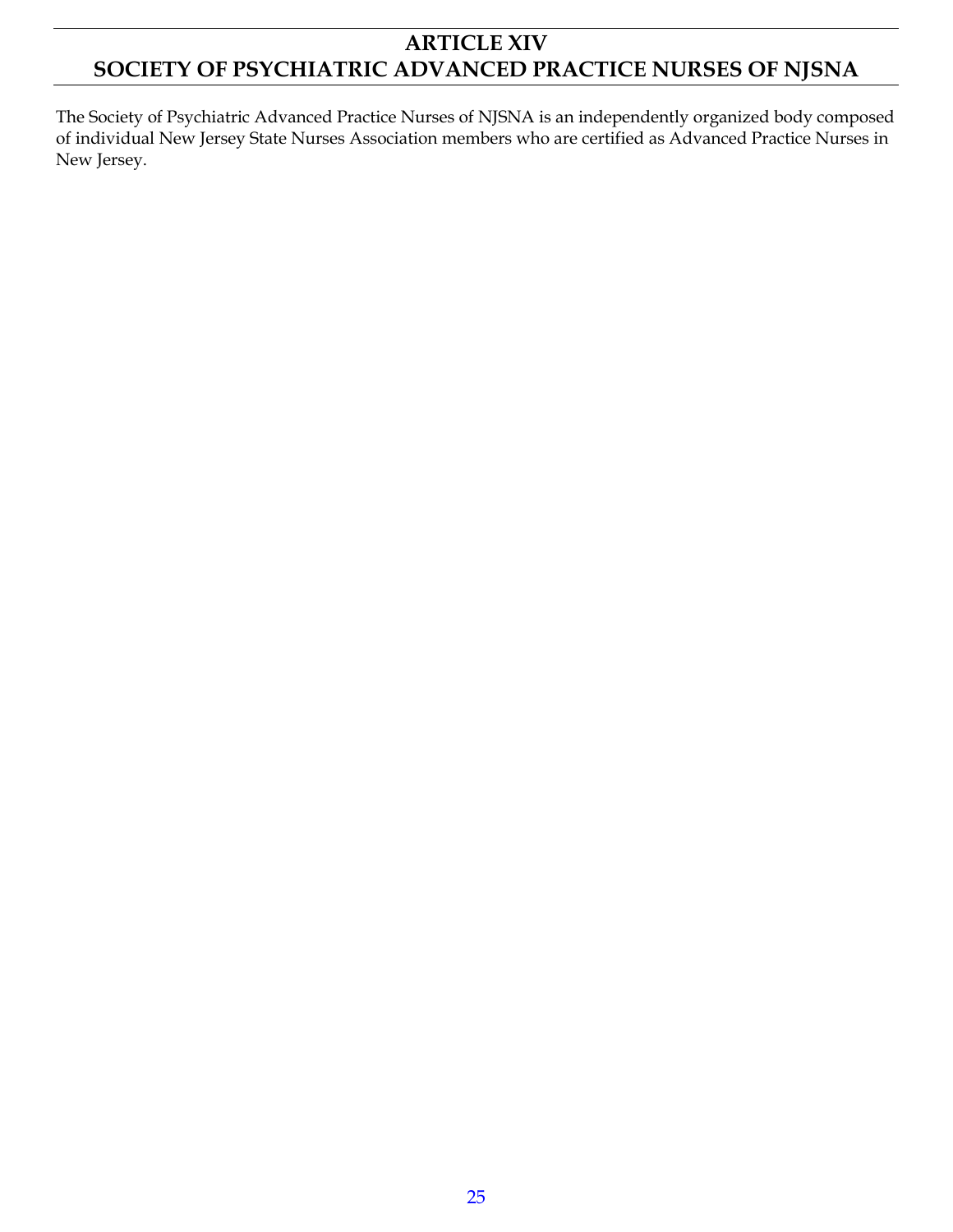## **ARTICLE XIV SOCIETY OF PSYCHIATRIC ADVANCED PRACTICE NURSES OF NJSNA**

The Society of Psychiatric Advanced Practice Nurses of NJSNA is an independently organized body composed of individual New Jersey State Nurses Association members who are certified as Advanced Practice Nurses in New Jersey.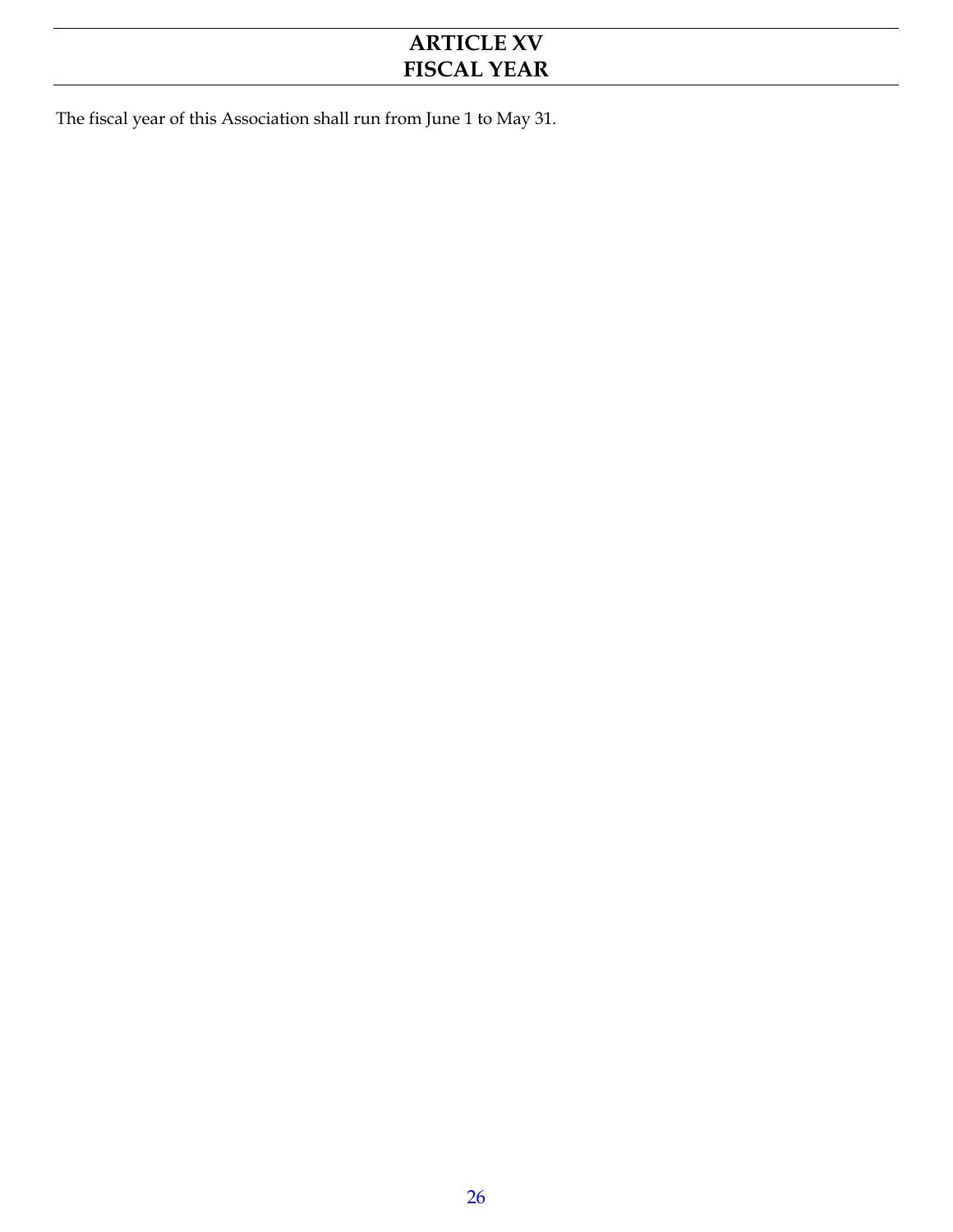## **ARTICLE XV FISCAL YEAR**

The fiscal year of this Association shall run from June 1 to May 31.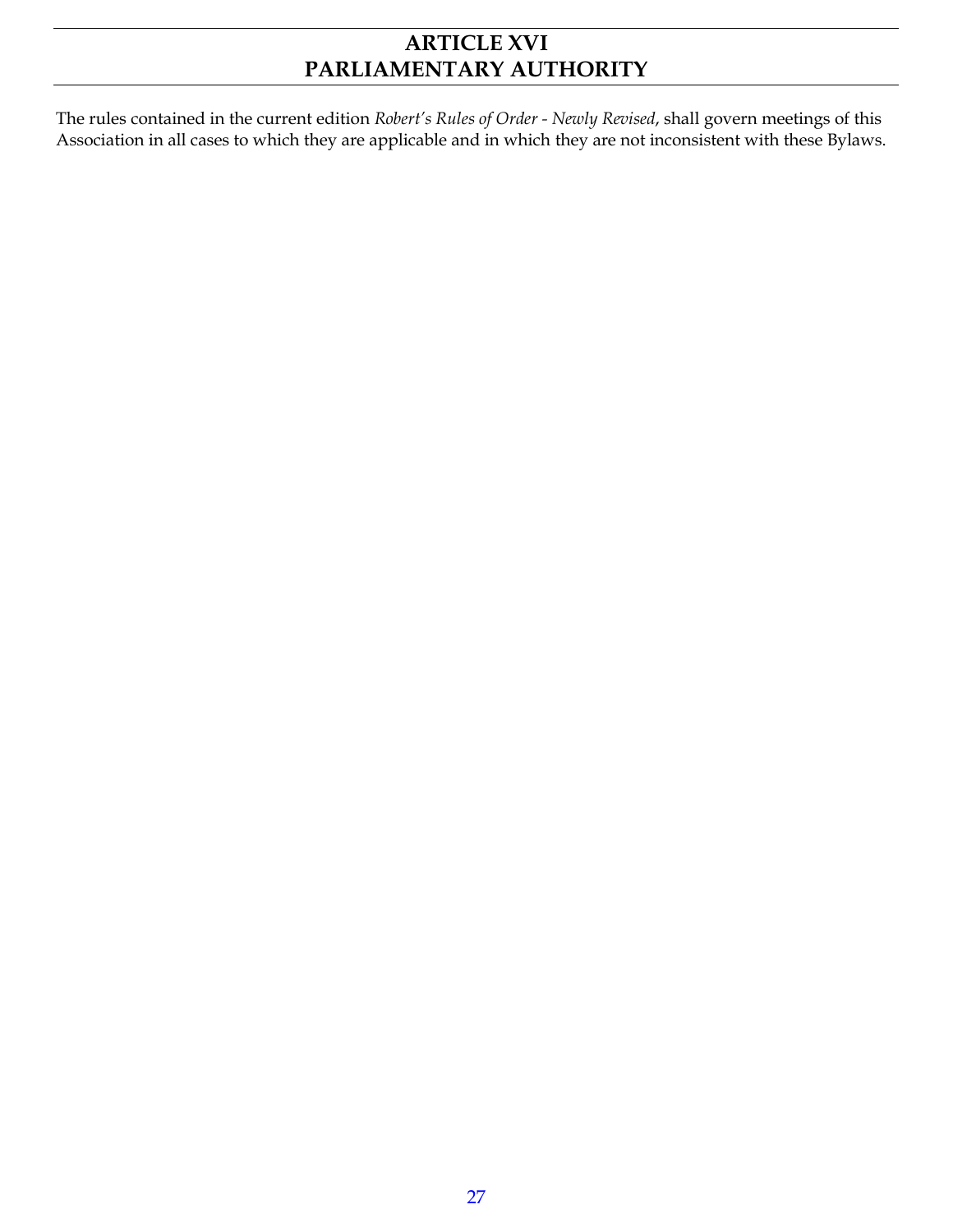## **ARTICLE XVI PARLIAMENTARY AUTHORITY**

The rules contained in the current edition *Robert's Rules of Order - Newly Revised*, shall govern meetings of this Association in all cases to which they are applicable and in which they are not inconsistent with these Bylaws.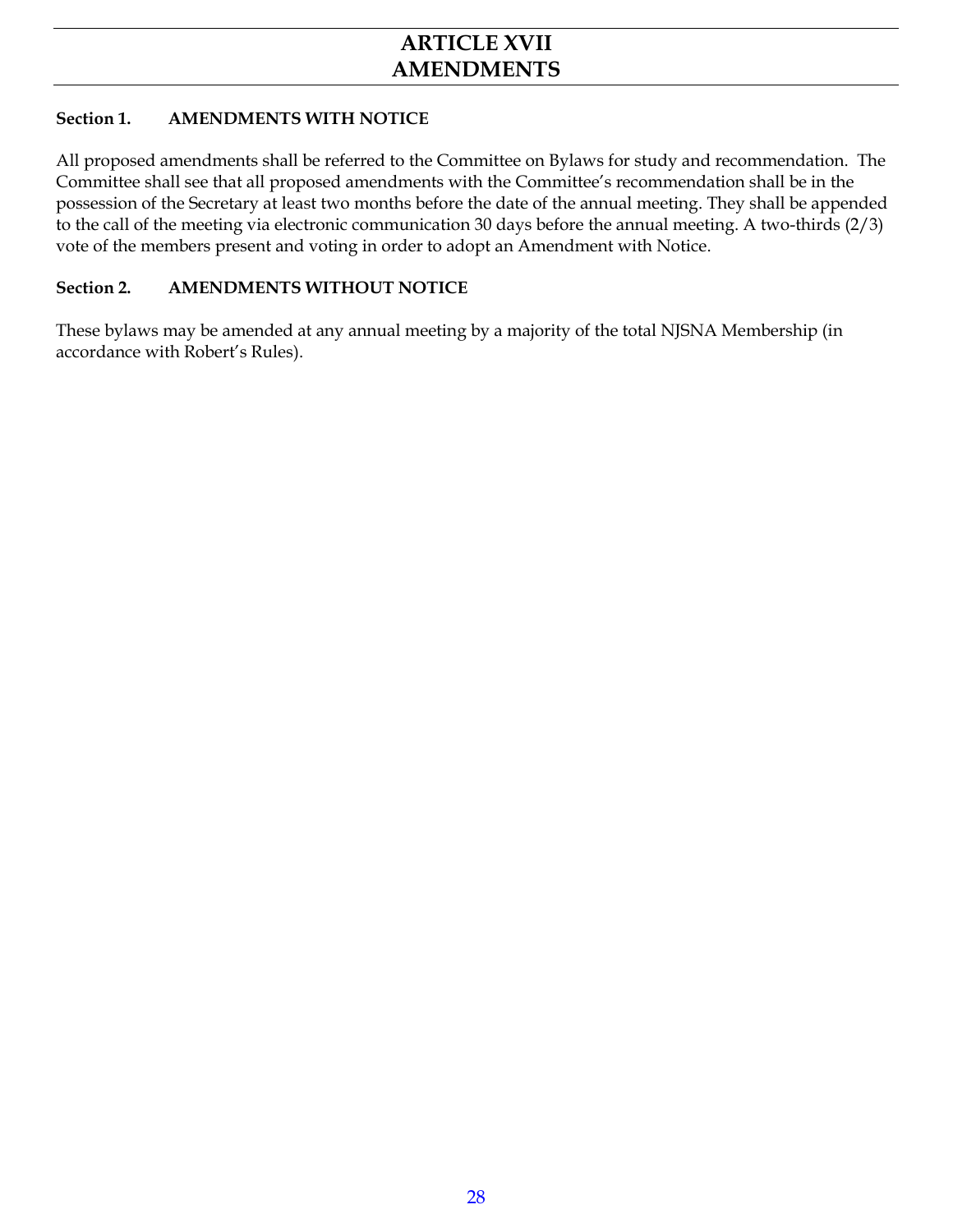#### **Section 1. AMENDMENTS WITH NOTICE**

All proposed amendments shall be referred to the Committee on Bylaws for study and recommendation. The Committee shall see that all proposed amendments with the Committee's recommendation shall be in the possession of the Secretary at least two months before the date of the annual meeting. They shall be appended to the call of the meeting via electronic communication 30 days before the annual meeting. A two-thirds (2/3) vote of the members present and voting in order to adopt an Amendment with Notice.

#### **Section 2. AMENDMENTS WITHOUT NOTICE**

These bylaws may be amended at any annual meeting by a majority of the total NJSNA Membership (in accordance with Robert's Rules).